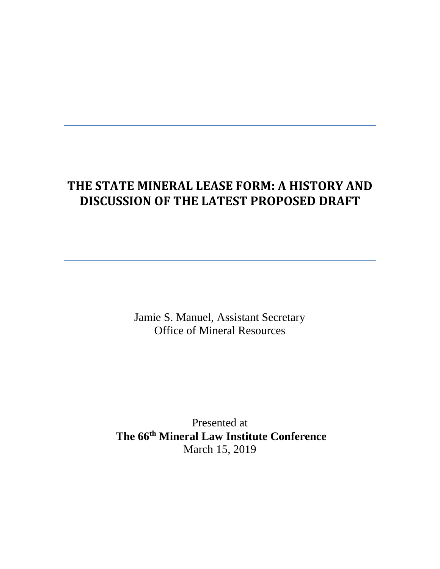# **THE STATE MINERAL LEASE FORM: A HISTORY AND DISCUSSION OF THE LATEST PROPOSED DRAFT**

Jamie S. Manuel, Assistant Secretary Office of Mineral Resources

Presented at **The 66th Mineral Law Institute Conference** March 15, 2019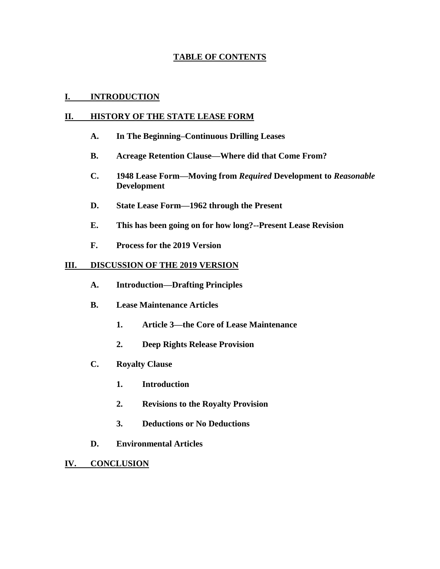# **TABLE OF CONTENTS**

# **I. INTRODUCTION**

## **II. HISTORY OF THE STATE LEASE FORM**

- **A. In The Beginning–Continuous Drilling Leases**
- **B. Acreage Retention Clause—Where did that Come From?**
- **C. 1948 Lease Form—Moving from** *Required* **Development to** *Reasonable* **Development**
- **D. State Lease Form—1962 through the Present**
- **E. This has been going on for how long?--Present Lease Revision**
- **F. Process for the 2019 Version**

# **III. DISCUSSION OF THE 2019 VERSION**

- **A. Introduction—Drafting Principles**
- **B. Lease Maintenance Articles**
	- **1. Article 3—the Core of Lease Maintenance**
	- **2. Deep Rights Release Provision**
- **C. Royalty Clause**
	- **1. Introduction**
	- **2. Revisions to the Royalty Provision**
	- **3. Deductions or No Deductions**
- **D. Environmental Articles**
- **IV. CONCLUSION**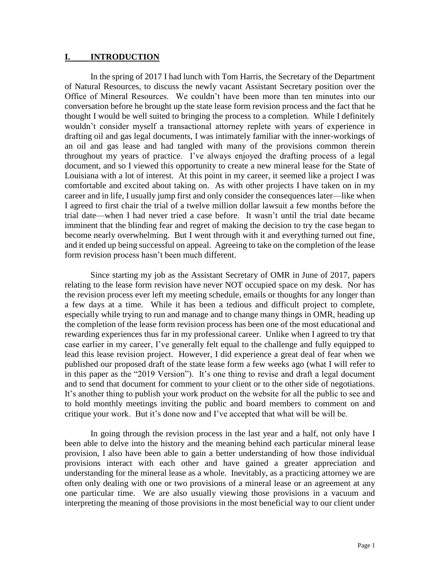#### **I. INTRODUCTION**

In the spring of 2017 I had lunch with Tom Harris, the Secretary of the Department of Natural Resources, to discuss the newly vacant Assistant Secretary position over the Office of Mineral Resources. We couldn't have been more than ten minutes into our conversation before he brought up the state lease form revision process and the fact that he thought I would be well suited to bringing the process to a completion. While I definitely wouldn't consider myself a transactional attorney replete with years of experience in drafting oil and gas legal documents, I was intimately familiar with the inner-workings of an oil and gas lease and had tangled with many of the provisions common therein throughout my years of practice. I've always enjoyed the drafting process of a legal document, and so I viewed this opportunity to create a new mineral lease for the State of Louisiana with a lot of interest. At this point in my career, it seemed like a project I was comfortable and excited about taking on. As with other projects I have taken on in my career and in life, I usually jump first and only consider the consequences later—like when I agreed to first chair the trial of a twelve million dollar lawsuit a few months before the trial date—when I had never tried a case before. It wasn't until the trial date became imminent that the blinding fear and regret of making the decision to try the case began to become nearly overwhelming. But I went through with it and everything turned out fine, and it ended up being successful on appeal. Agreeing to take on the completion of the lease form revision process hasn't been much different.

Since starting my job as the Assistant Secretary of OMR in June of 2017, papers relating to the lease form revision have never NOT occupied space on my desk. Nor has the revision process ever left my meeting schedule, emails or thoughts for any longer than a few days at a time. While it has been a tedious and difficult project to complete, especially while trying to run and manage and to change many things in OMR, heading up the completion of the lease form revision process has been one of the most educational and rewarding experiences thus far in my professional career. Unlike when I agreed to try that case earlier in my career, I've generally felt equal to the challenge and fully equipped to lead this lease revision project. However, I did experience a great deal of fear when we published our proposed draft of the state lease form a few weeks ago (what I will refer to in this paper as the "2019 Version"). It's one thing to revise and draft a legal document and to send that document for comment to your client or to the other side of negotiations. It's another thing to publish your work product on the website for all the public to see and to hold monthly meetings inviting the public and board members to comment on and critique your work. But it's done now and I've accepted that what will be will be.

In going through the revision process in the last year and a half, not only have I been able to delve into the history and the meaning behind each particular mineral lease provision, I also have been able to gain a better understanding of how those individual provisions interact with each other and have gained a greater appreciation and understanding for the mineral lease as a whole. Inevitably, as a practicing attorney we are often only dealing with one or two provisions of a mineral lease or an agreement at any one particular time. We are also usually viewing those provisions in a vacuum and interpreting the meaning of those provisions in the most beneficial way to our client under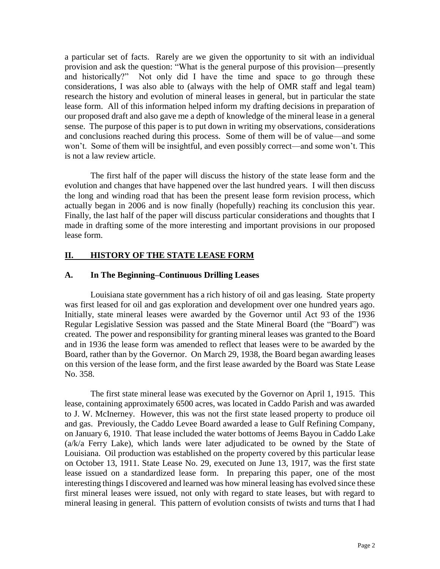a particular set of facts. Rarely are we given the opportunity to sit with an individual provision and ask the question: "What is the general purpose of this provision—presently and historically?" Not only did I have the time and space to go through these considerations, I was also able to (always with the help of OMR staff and legal team) research the history and evolution of mineral leases in general, but in particular the state lease form. All of this information helped inform my drafting decisions in preparation of our proposed draft and also gave me a depth of knowledge of the mineral lease in a general sense. The purpose of this paper is to put down in writing my observations, considerations and conclusions reached during this process. Some of them will be of value—and some won't. Some of them will be insightful, and even possibly correct—and some won't. This is not a law review article.

The first half of the paper will discuss the history of the state lease form and the evolution and changes that have happened over the last hundred years. I will then discuss the long and winding road that has been the present lease form revision process, which actually began in 2006 and is now finally (hopefully) reaching its conclusion this year. Finally, the last half of the paper will discuss particular considerations and thoughts that I made in drafting some of the more interesting and important provisions in our proposed lease form.

# **II. HISTORY OF THE STATE LEASE FORM**

# **A. In The Beginning–Continuous Drilling Leases**

Louisiana state government has a rich history of oil and gas leasing. State property was first leased for oil and gas exploration and development over one hundred years ago. Initially, state mineral leases were awarded by the Governor until Act 93 of the 1936 Regular Legislative Session was passed and the State Mineral Board (the "Board") was created. The power and responsibility for granting mineral leases was granted to the Board and in 1936 the lease form was amended to reflect that leases were to be awarded by the Board, rather than by the Governor. On March 29, 1938, the Board began awarding leases on this version of the lease form, and the first lease awarded by the Board was State Lease No. 358.

The first state mineral lease was executed by the Governor on April 1, 1915. This lease, containing approximately 6500 acres, was located in Caddo Parish and was awarded to J. W. McInerney. However, this was not the first state leased property to produce oil and gas. Previously, the Caddo Levee Board awarded a lease to Gulf Refining Company, on January 6, 1910. That lease included the water bottoms of Jeems Bayou in Caddo Lake (a/k/a Ferry Lake), which lands were later adjudicated to be owned by the State of Louisiana. Oil production was established on the property covered by this particular lease on October 13, 1911. State Lease No. 29, executed on June 13, 1917, was the first state lease issued on a standardized lease form. In preparing this paper, one of the most interesting things I discovered and learned was how mineral leasing has evolved since these first mineral leases were issued, not only with regard to state leases, but with regard to mineral leasing in general. This pattern of evolution consists of twists and turns that I had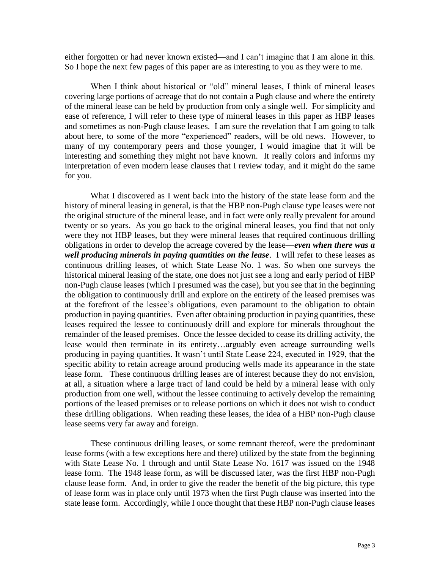either forgotten or had never known existed—and I can't imagine that I am alone in this. So I hope the next few pages of this paper are as interesting to you as they were to me.

When I think about historical or "old" mineral leases, I think of mineral leases covering large portions of acreage that do not contain a Pugh clause and where the entirety of the mineral lease can be held by production from only a single well. For simplicity and ease of reference, I will refer to these type of mineral leases in this paper as HBP leases and sometimes as non-Pugh clause leases. I am sure the revelation that I am going to talk about here, to some of the more "experienced" readers, will be old news. However, to many of my contemporary peers and those younger, I would imagine that it will be interesting and something they might not have known. It really colors and informs my interpretation of even modern lease clauses that I review today, and it might do the same for you.

What I discovered as I went back into the history of the state lease form and the history of mineral leasing in general, is that the HBP non-Pugh clause type leases were not the original structure of the mineral lease, and in fact were only really prevalent for around twenty or so years. As you go back to the original mineral leases, you find that not only were they not HBP leases, but they were mineral leases that required continuous drilling obligations in order to develop the acreage covered by the lease—*even when there was a well producing minerals in paying quantities on the lease*. I will refer to these leases as continuous drilling leases, of which State Lease No. 1 was. So when one surveys the historical mineral leasing of the state, one does not just see a long and early period of HBP non-Pugh clause leases (which I presumed was the case), but you see that in the beginning the obligation to continuously drill and explore on the entirety of the leased premises was at the forefront of the lessee's obligations, even paramount to the obligation to obtain production in paying quantities. Even after obtaining production in paying quantities, these leases required the lessee to continuously drill and explore for minerals throughout the remainder of the leased premises. Once the lessee decided to cease its drilling activity, the lease would then terminate in its entirety…arguably even acreage surrounding wells producing in paying quantities. It wasn't until State Lease 224, executed in 1929, that the specific ability to retain acreage around producing wells made its appearance in the state lease form. These continuous drilling leases are of interest because they do not envision, at all, a situation where a large tract of land could be held by a mineral lease with only production from one well, without the lessee continuing to actively develop the remaining portions of the leased premises or to release portions on which it does not wish to conduct these drilling obligations. When reading these leases, the idea of a HBP non-Pugh clause lease seems very far away and foreign.

These continuous drilling leases, or some remnant thereof, were the predominant lease forms (with a few exceptions here and there) utilized by the state from the beginning with State Lease No. 1 through and until State Lease No. 1617 was issued on the 1948 lease form. The 1948 lease form, as will be discussed later, was the first HBP non-Pugh clause lease form. And, in order to give the reader the benefit of the big picture, this type of lease form was in place only until 1973 when the first Pugh clause was inserted into the state lease form. Accordingly, while I once thought that these HBP non-Pugh clause leases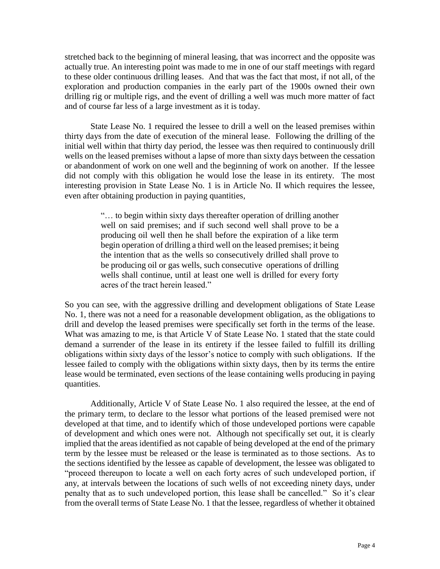stretched back to the beginning of mineral leasing, that was incorrect and the opposite was actually true. An interesting point was made to me in one of our staff meetings with regard to these older continuous drilling leases. And that was the fact that most, if not all, of the exploration and production companies in the early part of the 1900s owned their own drilling rig or multiple rigs, and the event of drilling a well was much more matter of fact and of course far less of a large investment as it is today.

State Lease No. 1 required the lessee to drill a well on the leased premises within thirty days from the date of execution of the mineral lease. Following the drilling of the initial well within that thirty day period, the lessee was then required to continuously drill wells on the leased premises without a lapse of more than sixty days between the cessation or abandonment of work on one well and the beginning of work on another. If the lessee did not comply with this obligation he would lose the lease in its entirety. The most interesting provision in State Lease No. 1 is in Article No. II which requires the lessee, even after obtaining production in paying quantities,

> "… to begin within sixty days thereafter operation of drilling another well on said premises; and if such second well shall prove to be a producing oil well then he shall before the expiration of a like term begin operation of drilling a third well on the leased premises; it being the intention that as the wells so consecutively drilled shall prove to be producing oil or gas wells, such consecutive operations of drilling wells shall continue, until at least one well is drilled for every forty acres of the tract herein leased."

So you can see, with the aggressive drilling and development obligations of State Lease No. 1, there was not a need for a reasonable development obligation, as the obligations to drill and develop the leased premises were specifically set forth in the terms of the lease. What was amazing to me, is that Article V of State Lease No. 1 stated that the state could demand a surrender of the lease in its entirety if the lessee failed to fulfill its drilling obligations within sixty days of the lessor's notice to comply with such obligations. If the lessee failed to comply with the obligations within sixty days, then by its terms the entire lease would be terminated, even sections of the lease containing wells producing in paying quantities.

Additionally, Article V of State Lease No. 1 also required the lessee, at the end of the primary term, to declare to the lessor what portions of the leased premised were not developed at that time, and to identify which of those undeveloped portions were capable of development and which ones were not. Although not specifically set out, it is clearly implied that the areas identified as not capable of being developed at the end of the primary term by the lessee must be released or the lease is terminated as to those sections. As to the sections identified by the lessee as capable of development, the lessee was obligated to "proceed thereupon to locate a well on each forty acres of such undeveloped portion, if any, at intervals between the locations of such wells of not exceeding ninety days, under penalty that as to such undeveloped portion, this lease shall be cancelled." So it's clear from the overall terms of State Lease No. 1 that the lessee, regardless of whether it obtained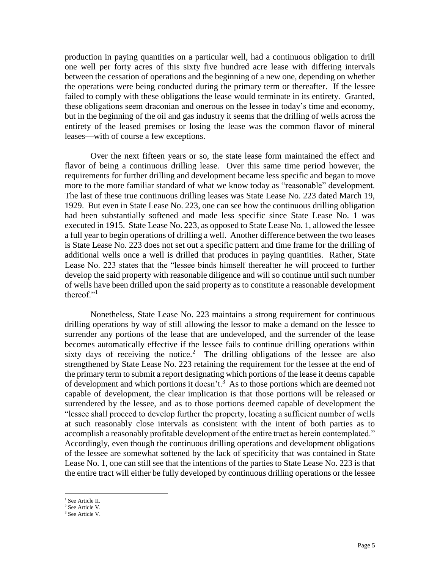production in paying quantities on a particular well, had a continuous obligation to drill one well per forty acres of this sixty five hundred acre lease with differing intervals between the cessation of operations and the beginning of a new one, depending on whether the operations were being conducted during the primary term or thereafter. If the lessee failed to comply with these obligations the lease would terminate in its entirety. Granted, these obligations seem draconian and onerous on the lessee in today's time and economy, but in the beginning of the oil and gas industry it seems that the drilling of wells across the entirety of the leased premises or losing the lease was the common flavor of mineral leases—with of course a few exceptions.

Over the next fifteen years or so, the state lease form maintained the effect and flavor of being a continuous drilling lease. Over this same time period however, the requirements for further drilling and development became less specific and began to move more to the more familiar standard of what we know today as "reasonable" development. The last of these true continuous drilling leases was State Lease No. 223 dated March 19, 1929. But even in State Lease No. 223, one can see how the continuous drilling obligation had been substantially softened and made less specific since State Lease No. 1 was executed in 1915. State Lease No. 223, as opposed to State Lease No. 1, allowed the lessee a full year to begin operations of drilling a well. Another difference between the two leases is State Lease No. 223 does not set out a specific pattern and time frame for the drilling of additional wells once a well is drilled that produces in paying quantities. Rather, State Lease No. 223 states that the "lessee binds himself thereafter he will proceed to further develop the said property with reasonable diligence and will so continue until such number of wells have been drilled upon the said property as to constitute a reasonable development thereof."<sup>1</sup>

Nonetheless, State Lease No. 223 maintains a strong requirement for continuous drilling operations by way of still allowing the lessor to make a demand on the lessee to surrender any portions of the lease that are undeveloped, and the surrender of the lease becomes automatically effective if the lessee fails to continue drilling operations within sixty days of receiving the notice.<sup>2</sup> The drilling obligations of the lessee are also strengthened by State Lease No. 223 retaining the requirement for the lessee at the end of the primary term to submit a report designating which portions of the lease it deems capable of development and which portions it doesn't.<sup>3</sup> As to those portions which are deemed not capable of development, the clear implication is that those portions will be released or surrendered by the lessee, and as to those portions deemed capable of development the "lessee shall proceed to develop further the property, locating a sufficient number of wells at such reasonably close intervals as consistent with the intent of both parties as to accomplish a reasonably profitable development of the entire tract as herein contemplated." Accordingly, even though the continuous drilling operations and development obligations of the lessee are somewhat softened by the lack of specificity that was contained in State Lease No. 1, one can still see that the intentions of the parties to State Lease No. 223 is that the entire tract will either be fully developed by continuous drilling operations or the lessee

 $\overline{a}$ <sup>1</sup> See Article II.

<sup>&</sup>lt;sup>2</sup> See Article V.

<sup>3</sup> See Article V.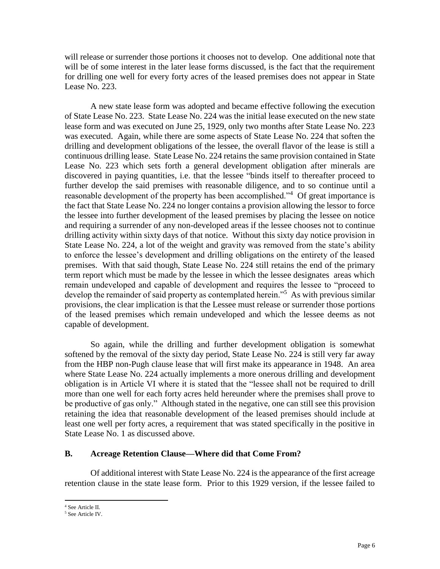will release or surrender those portions it chooses not to develop. One additional note that will be of some interest in the later lease forms discussed, is the fact that the requirement for drilling one well for every forty acres of the leased premises does not appear in State Lease No. 223.

A new state lease form was adopted and became effective following the execution of State Lease No. 223. State Lease No. 224 was the initial lease executed on the new state lease form and was executed on June 25, 1929, only two months after State Lease No. 223 was executed. Again, while there are some aspects of State Lease No. 224 that soften the drilling and development obligations of the lessee, the overall flavor of the lease is still a continuous drilling lease. State Lease No. 224 retains the same provision contained in State Lease No. 223 which sets forth a general development obligation after minerals are discovered in paying quantities, i.e. that the lessee "binds itself to thereafter proceed to further develop the said premises with reasonable diligence, and to so continue until a reasonable development of the property has been accomplished."<sup>4</sup> Of great importance is the fact that State Lease No. 224 no longer contains a provision allowing the lessor to force the lessee into further development of the leased premises by placing the lessee on notice and requiring a surrender of any non-developed areas if the lessee chooses not to continue drilling activity within sixty days of that notice. Without this sixty day notice provision in State Lease No. 224, a lot of the weight and gravity was removed from the state's ability to enforce the lessee's development and drilling obligations on the entirety of the leased premises. With that said though, State Lease No. 224 still retains the end of the primary term report which must be made by the lessee in which the lessee designates areas which remain undeveloped and capable of development and requires the lessee to "proceed to develop the remainder of said property as contemplated herein."<sup>5</sup> As with previous similar provisions, the clear implication is that the Lessee must release or surrender those portions of the leased premises which remain undeveloped and which the lessee deems as not capable of development.

So again, while the drilling and further development obligation is somewhat softened by the removal of the sixty day period, State Lease No. 224 is still very far away from the HBP non-Pugh clause lease that will first make its appearance in 1948. An area where State Lease No. 224 actually implements a more onerous drilling and development obligation is in Article VI where it is stated that the "lessee shall not be required to drill more than one well for each forty acres held hereunder where the premises shall prove to be productive of gas only." Although stated in the negative, one can still see this provision retaining the idea that reasonable development of the leased premises should include at least one well per forty acres, a requirement that was stated specifically in the positive in State Lease No. 1 as discussed above.

#### **B. Acreage Retention Clause—Where did that Come From?**

Of additional interest with State Lease No. 224 is the appearance of the first acreage retention clause in the state lease form. Prior to this 1929 version, if the lessee failed to

 $\overline{\phantom{a}}$ <sup>4</sup> See Article II.

<sup>5</sup> See Article IV.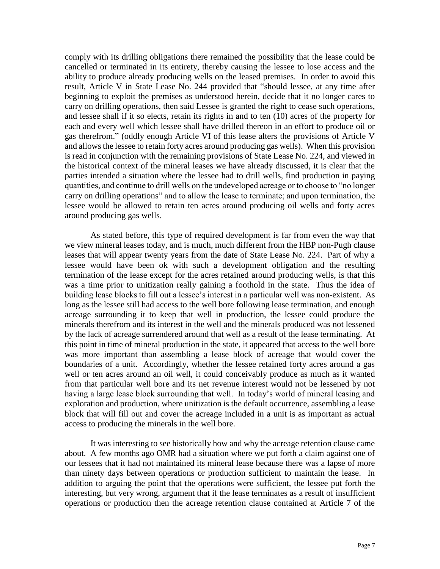comply with its drilling obligations there remained the possibility that the lease could be cancelled or terminated in its entirety, thereby causing the lessee to lose access and the ability to produce already producing wells on the leased premises. In order to avoid this result, Article V in State Lease No. 244 provided that "should lessee, at any time after beginning to exploit the premises as understood herein, decide that it no longer cares to carry on drilling operations, then said Lessee is granted the right to cease such operations, and lessee shall if it so elects, retain its rights in and to ten (10) acres of the property for each and every well which lessee shall have drilled thereon in an effort to produce oil or gas therefrom." (oddly enough Article VI of this lease alters the provisions of Article V and allows the lessee to retain forty acres around producing gas wells). When this provision is read in conjunction with the remaining provisions of State Lease No. 224, and viewed in the historical context of the mineral leases we have already discussed, it is clear that the parties intended a situation where the lessee had to drill wells, find production in paying quantities, and continue to drill wells on the undeveloped acreage or to choose to "no longer carry on drilling operations" and to allow the lease to terminate; and upon termination, the lessee would be allowed to retain ten acres around producing oil wells and forty acres around producing gas wells.

As stated before, this type of required development is far from even the way that we view mineral leases today, and is much, much different from the HBP non-Pugh clause leases that will appear twenty years from the date of State Lease No. 224. Part of why a lessee would have been ok with such a development obligation and the resulting termination of the lease except for the acres retained around producing wells, is that this was a time prior to unitization really gaining a foothold in the state. Thus the idea of building lease blocks to fill out a lessee's interest in a particular well was non-existent. As long as the lessee still had access to the well bore following lease termination, and enough acreage surrounding it to keep that well in production, the lessee could produce the minerals therefrom and its interest in the well and the minerals produced was not lessened by the lack of acreage surrendered around that well as a result of the lease terminating. At this point in time of mineral production in the state, it appeared that access to the well bore was more important than assembling a lease block of acreage that would cover the boundaries of a unit. Accordingly, whether the lessee retained forty acres around a gas well or ten acres around an oil well, it could conceivably produce as much as it wanted from that particular well bore and its net revenue interest would not be lessened by not having a large lease block surrounding that well. In today's world of mineral leasing and exploration and production, where unitization is the default occurrence, assembling a lease block that will fill out and cover the acreage included in a unit is as important as actual access to producing the minerals in the well bore.

It was interesting to see historically how and why the acreage retention clause came about. A few months ago OMR had a situation where we put forth a claim against one of our lessees that it had not maintained its mineral lease because there was a lapse of more than ninety days between operations or production sufficient to maintain the lease. In addition to arguing the point that the operations were sufficient, the lessee put forth the interesting, but very wrong, argument that if the lease terminates as a result of insufficient operations or production then the acreage retention clause contained at Article 7 of the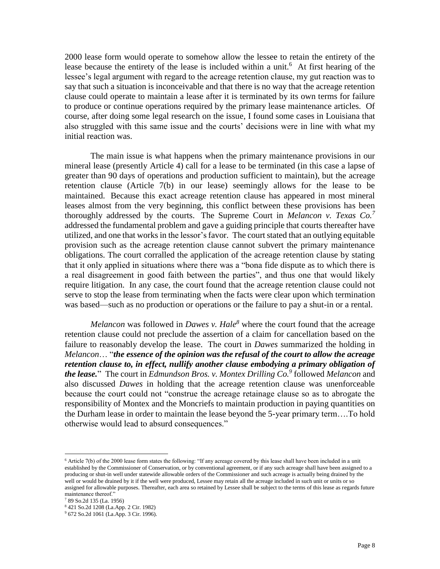2000 lease form would operate to somehow allow the lessee to retain the entirety of the lease because the entirety of the lease is included within a unit.<sup>6</sup> At first hearing of the lessee's legal argument with regard to the acreage retention clause, my gut reaction was to say that such a situation is inconceivable and that there is no way that the acreage retention clause could operate to maintain a lease after it is terminated by its own terms for failure to produce or continue operations required by the primary lease maintenance articles. Of course, after doing some legal research on the issue, I found some cases in Louisiana that also struggled with this same issue and the courts' decisions were in line with what my initial reaction was.

The main issue is what happens when the primary maintenance provisions in our mineral lease (presently Article 4) call for a lease to be terminated (in this case a lapse of greater than 90 days of operations and production sufficient to maintain), but the acreage retention clause (Article 7(b) in our lease) seemingly allows for the lease to be maintained. Because this exact acreage retention clause has appeared in most mineral leases almost from the very beginning, this conflict between these provisions has been thoroughly addressed by the courts. The Supreme Court in *Melancon v. Texas Co.<sup>7</sup>* addressed the fundamental problem and gave a guiding principle that courts thereafter have utilized, and one that works in the lessor'sfavor. The court stated that an outlying equitable provision such as the acreage retention clause cannot subvert the primary maintenance obligations. The court corralled the application of the acreage retention clause by stating that it only applied in situations where there was a "bona fide dispute as to which there is a real disagreement in good faith between the parties", and thus one that would likely require litigation. In any case, the court found that the acreage retention clause could not serve to stop the lease from terminating when the facts were clear upon which termination was based—such as no production or operations or the failure to pay a shut-in or a rental.

*Melancon* was followed in *Dawes v. Hale<sup>8</sup>* where the court found that the acreage retention clause could not preclude the assertion of a claim for cancellation based on the failure to reasonably develop the lease. The court in *Dawes* summarized the holding in *Melancon*… "*the essence of the opinion was the refusal of the court to allow the acreage retention clause to, in effect, nullify another clause embodying a primary obligation of the lease.*" The court in *Edmundson Bros. v. Montex Drilling Co.<sup>9</sup>* followed *Melancon* and also discussed *Dawes* in holding that the acreage retention clause was unenforceable because the court could not "construe the acreage retainage clause so as to abrogate the responsibility of Montex and the Moncriefs to maintain production in paying quantities on the Durham lease in order to maintain the lease beyond the 5-year primary term….To hold otherwise would lead to absurd consequences."

 $\overline{\phantom{a}}$ 

 $6$  Article 7(b) of the 2000 lease form states the following: "If any acreage covered by this lease shall have been included in a unit established by the Commissioner of Conservation, or by conventional agreement, or if any such acreage shall have been assigned to a producing or shut-in well under statewide allowable orders of the Commissioner and such acreage is actually being drained by the well or would be drained by it if the well were produced, Lessee may retain all the acreage included in such unit or units or so assigned for allowable purposes. Thereafter, each area so retained by Lessee shall be subject to the terms of this lease as regards future maintenance thereof."

<sup>7</sup> 89 So.2d 135 (La. 1956)

<sup>8</sup> 421 So.2d 1208 (La.App. 2 Cir. 1982)

<sup>9</sup> 672 So.2d 1061 (La.App. 3 Cir. 1996).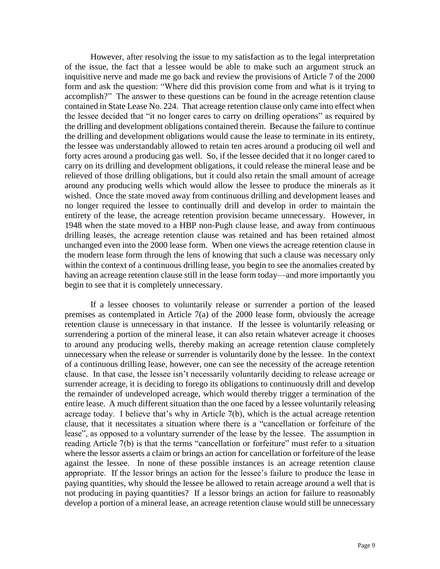However, after resolving the issue to my satisfaction as to the legal interpretation of the issue, the fact that a lessee would be able to make such an argument struck an inquisitive nerve and made me go back and review the provisions of Article 7 of the 2000 form and ask the question: "Where did this provision come from and what is it trying to accomplish?" The answer to these questions can be found in the acreage retention clause contained in State Lease No. 224. That acreage retention clause only came into effect when the lessee decided that "it no longer cares to carry on drilling operations" as required by the drilling and development obligations contained therein. Because the failure to continue the drilling and development obligations would cause the lease to terminate in its entirety, the lessee was understandably allowed to retain ten acres around a producing oil well and forty acres around a producing gas well. So, if the lessee decided that it no longer cared to carry on its drilling and development obligations, it could release the mineral lease and be relieved of those drilling obligations, but it could also retain the small amount of acreage around any producing wells which would allow the lessee to produce the minerals as it wished. Once the state moved away from continuous drilling and development leases and no longer required the lessee to continually drill and develop in order to maintain the entirety of the lease, the acreage retention provision became unnecessary. However, in 1948 when the state moved to a HBP non-Pugh clause lease, and away from continuous drilling leases, the acreage retention clause was retained and has been retained almost unchanged even into the 2000 lease form. When one views the acreage retention clause in the modern lease form through the lens of knowing that such a clause was necessary only within the context of a continuous drilling lease, you begin to see the anomalies created by having an acreage retention clause still in the lease form today—and more importantly you begin to see that it is completely unnecessary.

If a lessee chooses to voluntarily release or surrender a portion of the leased premises as contemplated in Article 7(a) of the 2000 lease form, obviously the acreage retention clause is unnecessary in that instance. If the lessee is voluntarily releasing or surrendering a portion of the mineral lease, it can also retain whatever acreage it chooses to around any producing wells, thereby making an acreage retention clause completely unnecessary when the release or surrender is voluntarily done by the lessee. In the context of a continuous drilling lease, however, one can see the necessity of the acreage retention clause. In that case, the lessee isn't necessarily voluntarily deciding to release acreage or surrender acreage, it is deciding to forego its obligations to continuously drill and develop the remainder of undeveloped acreage, which would thereby trigger a termination of the entire lease. A much different situation than the one faced by a lessee voluntarily releasing acreage today. I believe that's why in Article 7(b), which is the actual acreage retention clause, that it necessitates a situation where there is a "cancellation or forfeiture of the lease", as opposed to a voluntary surrender of the lease by the lessee. The assumption in reading Article 7(b) is that the terms "cancellation or forfeiture" must refer to a situation where the lessor asserts a claim or brings an action for cancellation or forfeiture of the lease against the lessee. In none of these possible instances is an acreage retention clause appropriate. If the lessor brings an action for the lessee's failure to produce the lease in paying quantities, why should the lessee be allowed to retain acreage around a well that is not producing in paying quantities? If a lessor brings an action for failure to reasonably develop a portion of a mineral lease, an acreage retention clause would still be unnecessary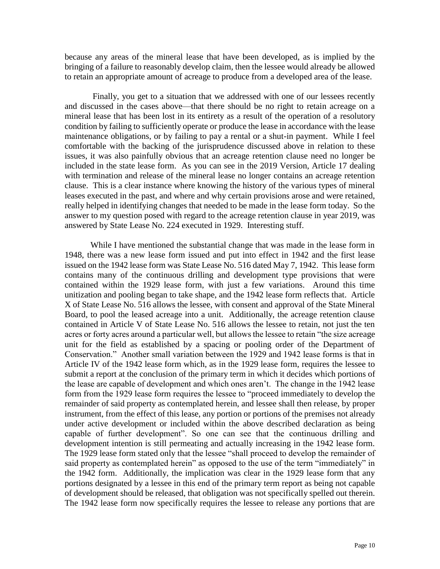because any areas of the mineral lease that have been developed, as is implied by the bringing of a failure to reasonably develop claim, then the lessee would already be allowed to retain an appropriate amount of acreage to produce from a developed area of the lease.

Finally, you get to a situation that we addressed with one of our lessees recently and discussed in the cases above—that there should be no right to retain acreage on a mineral lease that has been lost in its entirety as a result of the operation of a resolutory condition by failing to sufficiently operate or produce the lease in accordance with the lease maintenance obligations, or by failing to pay a rental or a shut-in payment. While I feel comfortable with the backing of the jurisprudence discussed above in relation to these issues, it was also painfully obvious that an acreage retention clause need no longer be included in the state lease form. As you can see in the 2019 Version, Article 17 dealing with termination and release of the mineral lease no longer contains an acreage retention clause. This is a clear instance where knowing the history of the various types of mineral leases executed in the past, and where and why certain provisions arose and were retained, really helped in identifying changes that needed to be made in the lease form today. So the answer to my question posed with regard to the acreage retention clause in year 2019, was answered by State Lease No. 224 executed in 1929. Interesting stuff.

While I have mentioned the substantial change that was made in the lease form in 1948, there was a new lease form issued and put into effect in 1942 and the first lease issued on the 1942 lease form was State Lease No. 516 dated May 7, 1942. This lease form contains many of the continuous drilling and development type provisions that were contained within the 1929 lease form, with just a few variations. Around this time unitization and pooling began to take shape, and the 1942 lease form reflects that. Article X of State Lease No. 516 allows the lessee, with consent and approval of the State Mineral Board, to pool the leased acreage into a unit. Additionally, the acreage retention clause contained in Article V of State Lease No. 516 allows the lessee to retain, not just the ten acres or forty acres around a particular well, but allows the lessee to retain "the size acreage unit for the field as established by a spacing or pooling order of the Department of Conservation." Another small variation between the 1929 and 1942 lease forms is that in Article IV of the 1942 lease form which, as in the 1929 lease form, requires the lessee to submit a report at the conclusion of the primary term in which it decides which portions of the lease are capable of development and which ones aren't. The change in the 1942 lease form from the 1929 lease form requires the lessee to "proceed immediately to develop the remainder of said property as contemplated herein, and lessee shall then release, by proper instrument, from the effect of this lease, any portion or portions of the premises not already under active development or included within the above described declaration as being capable of further development". So one can see that the continuous drilling and development intention is still permeating and actually increasing in the 1942 lease form. The 1929 lease form stated only that the lessee "shall proceed to develop the remainder of said property as contemplated herein" as opposed to the use of the term "immediately" in the 1942 form. Additionally, the implication was clear in the 1929 lease form that any portions designated by a lessee in this end of the primary term report as being not capable of development should be released, that obligation was not specifically spelled out therein. The 1942 lease form now specifically requires the lessee to release any portions that are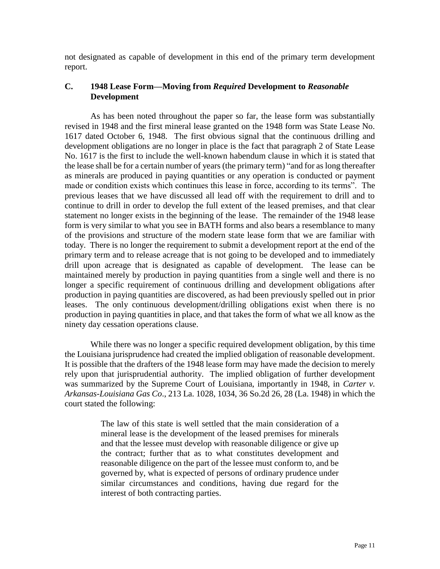not designated as capable of development in this end of the primary term development report.

# **C. 1948 Lease Form—Moving from** *Required* **Development to** *Reasonable* **Development**

As has been noted throughout the paper so far, the lease form was substantially revised in 1948 and the first mineral lease granted on the 1948 form was State Lease No. 1617 dated October 6, 1948. The first obvious signal that the continuous drilling and development obligations are no longer in place is the fact that paragraph 2 of State Lease No. 1617 is the first to include the well-known habendum clause in which it is stated that the lease shall be for a certain number of years (the primary term) "and for as long thereafter as minerals are produced in paying quantities or any operation is conducted or payment made or condition exists which continues this lease in force, according to its terms". The previous leases that we have discussed all lead off with the requirement to drill and to continue to drill in order to develop the full extent of the leased premises, and that clear statement no longer exists in the beginning of the lease. The remainder of the 1948 lease form is very similar to what you see in BATH forms and also bears a resemblance to many of the provisions and structure of the modern state lease form that we are familiar with today. There is no longer the requirement to submit a development report at the end of the primary term and to release acreage that is not going to be developed and to immediately drill upon acreage that is designated as capable of development. The lease can be maintained merely by production in paying quantities from a single well and there is no longer a specific requirement of continuous drilling and development obligations after production in paying quantities are discovered, as had been previously spelled out in prior leases. The only continuous development/drilling obligations exist when there is no production in paying quantities in place, and that takes the form of what we all know as the ninety day cessation operations clause.

While there was no longer a specific required development obligation, by this time the Louisiana jurisprudence had created the implied obligation of reasonable development. It is possible that the drafters of the 1948 lease form may have made the decision to merely rely upon that jurisprudential authority. The implied obligation of further development was summarized by the Supreme Court of Louisiana, importantly in 1948, in *Carter v. Arkansas-Louisiana Gas Co*., 213 La. 1028, 1034, 36 So.2d 26, 28 (La. 1948) in which the court stated the following:

> The law of this state is well settled that the main consideration of a mineral lease is the development of the leased premises for minerals and that the lessee must develop with reasonable diligence or give up the contract; further that as to what constitutes development and reasonable diligence on the part of the lessee must conform to, and be governed by, what is expected of persons of ordinary prudence under similar circumstances and conditions, having due regard for the interest of both contracting parties.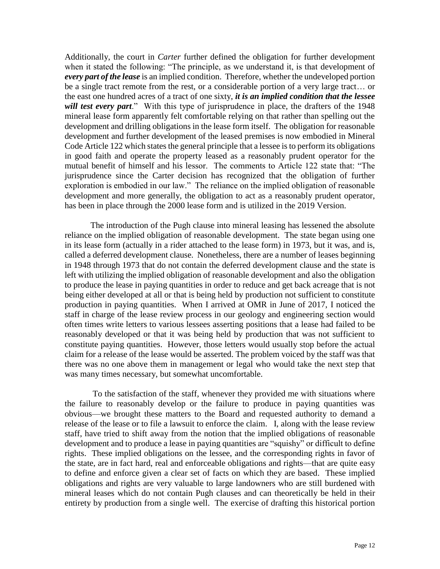Additionally, the court in *Carter* further defined the obligation for further development when it stated the following: "The principle, as we understand it, is that development of *every part of the lease* is an implied condition. Therefore, whether the undeveloped portion be a single tract remote from the rest, or a considerable portion of a very large tract… or the east one hundred acres of a tract of one sixty, *it is an implied condition that the lessee will test every part*." With this type of jurisprudence in place, the drafters of the 1948 mineral lease form apparently felt comfortable relying on that rather than spelling out the development and drilling obligations in the lease form itself. The obligation for reasonable development and further development of the leased premises is now embodied in Mineral Code Article 122 which states the general principle that a lessee is to perform its obligations in good faith and operate the property leased as a reasonably prudent operator for the mutual benefit of himself and his lessor. The comments to Article 122 state that: "The jurisprudence since the Carter decision has recognized that the obligation of further exploration is embodied in our law." The reliance on the implied obligation of reasonable development and more generally, the obligation to act as a reasonably prudent operator, has been in place through the 2000 lease form and is utilized in the 2019 Version.

The introduction of the Pugh clause into mineral leasing has lessened the absolute reliance on the implied obligation of reasonable development. The state began using one in its lease form (actually in a rider attached to the lease form) in 1973, but it was, and is, called a deferred development clause. Nonetheless, there are a number of leases beginning in 1948 through 1973 that do not contain the deferred development clause and the state is left with utilizing the implied obligation of reasonable development and also the obligation to produce the lease in paying quantities in order to reduce and get back acreage that is not being either developed at all or that is being held by production not sufficient to constitute production in paying quantities. When I arrived at OMR in June of 2017, I noticed the staff in charge of the lease review process in our geology and engineering section would often times write letters to various lessees asserting positions that a lease had failed to be reasonably developed or that it was being held by production that was not sufficient to constitute paying quantities. However, those letters would usually stop before the actual claim for a release of the lease would be asserted. The problem voiced by the staff was that there was no one above them in management or legal who would take the next step that was many times necessary, but somewhat uncomfortable.

To the satisfaction of the staff, whenever they provided me with situations where the failure to reasonably develop or the failure to produce in paying quantities was obvious—we brought these matters to the Board and requested authority to demand a release of the lease or to file a lawsuit to enforce the claim. I, along with the lease review staff, have tried to shift away from the notion that the implied obligations of reasonable development and to produce a lease in paying quantities are "squishy" or difficult to define rights. These implied obligations on the lessee, and the corresponding rights in favor of the state, are in fact hard, real and enforceable obligations and rights—that are quite easy to define and enforce given a clear set of facts on which they are based. These implied obligations and rights are very valuable to large landowners who are still burdened with mineral leases which do not contain Pugh clauses and can theoretically be held in their entirety by production from a single well. The exercise of drafting this historical portion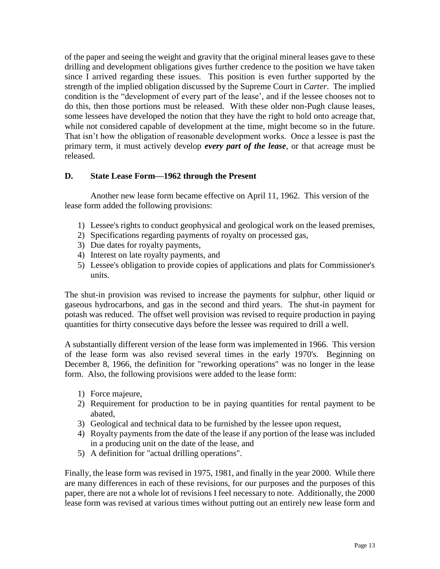of the paper and seeing the weight and gravity that the original mineral leases gave to these drilling and development obligations gives further credence to the position we have taken since I arrived regarding these issues. This position is even further supported by the strength of the implied obligation discussed by the Supreme Court in *Carter*. The implied condition is the "development of every part of the lease', and if the lessee chooses not to do this, then those portions must be released. With these older non-Pugh clause leases, some lessees have developed the notion that they have the right to hold onto acreage that, while not considered capable of development at the time, might become so in the future. That isn't how the obligation of reasonable development works. Once a lessee is past the primary term, it must actively develop *every part of the lease*, or that acreage must be released.

# **D. State Lease Form—1962 through the Present**

Another new lease form became effective on April 11, 1962. This version of the lease form added the following provisions:

- 1) Lessee's rights to conduct geophysical and geological work on the leased premises,
- 2) Specifications regarding payments of royalty on processed gas,
- 3) Due dates for royalty payments,
- 4) Interest on late royalty payments, and
- 5) Lessee's obligation to provide copies of applications and plats for Commissioner's units.

The shut-in provision was revised to increase the payments for sulphur, other liquid or gaseous hydrocarbons, and gas in the second and third years. The shut-in payment for potash was reduced. The offset well provision was revised to require production in paying quantities for thirty consecutive days before the lessee was required to drill a well.

A substantially different version of the lease form was implemented in 1966. This version of the lease form was also revised several times in the early 1970's. Beginning on December 8, 1966, the definition for "reworking operations" was no longer in the lease form. Also, the following provisions were added to the lease form:

- 1) Force majeure,
- 2) Requirement for production to be in paying quantities for rental payment to be abated,
- 3) Geological and technical data to be furnished by the lessee upon request,
- 4) Royalty payments from the date of the lease if any portion of the lease was included in a producing unit on the date of the lease, and
- 5) A definition for "actual drilling operations".

Finally, the lease form was revised in 1975, 1981, and finally in the year 2000. While there are many differences in each of these revisions, for our purposes and the purposes of this paper, there are not a whole lot of revisions I feel necessary to note. Additionally, the 2000 lease form was revised at various times without putting out an entirely new lease form and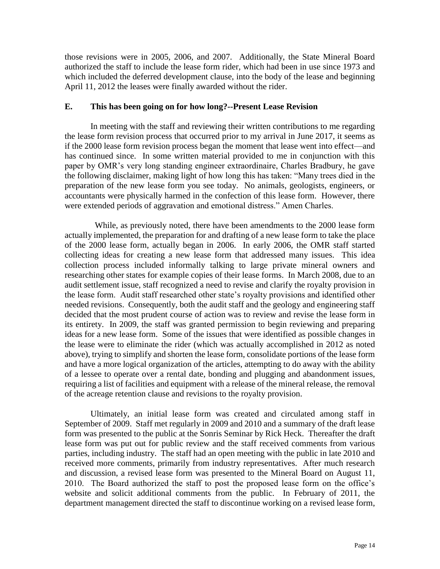those revisions were in 2005, 2006, and 2007. Additionally, the State Mineral Board authorized the staff to include the lease form rider, which had been in use since 1973 and which included the deferred development clause, into the body of the lease and beginning April 11, 2012 the leases were finally awarded without the rider.

## **E. This has been going on for how long?--Present Lease Revision**

In meeting with the staff and reviewing their written contributions to me regarding the lease form revision process that occurred prior to my arrival in June 2017, it seems as if the 2000 lease form revision process began the moment that lease went into effect—and has continued since. In some written material provided to me in conjunction with this paper by OMR's very long standing engineer extraordinaire, Charles Bradbury, he gave the following disclaimer, making light of how long this has taken: "Many trees died in the preparation of the new lease form you see today. No animals, geologists, engineers, or accountants were physically harmed in the confection of this lease form. However, there were extended periods of aggravation and emotional distress." Amen Charles.

 While, as previously noted, there have been amendments to the 2000 lease form actually implemented, the preparation for and drafting of a new lease form to take the place of the 2000 lease form, actually began in 2006. In early 2006, the OMR staff started collecting ideas for creating a new lease form that addressed many issues. This idea collection process included informally talking to large private mineral owners and researching other states for example copies of their lease forms. In March 2008, due to an audit settlement issue, staff recognized a need to revise and clarify the royalty provision in the lease form. Audit staff researched other state's royalty provisions and identified other needed revisions. Consequently, both the audit staff and the geology and engineering staff decided that the most prudent course of action was to review and revise the lease form in its entirety. In 2009, the staff was granted permission to begin reviewing and preparing ideas for a new lease form. Some of the issues that were identified as possible changes in the lease were to eliminate the rider (which was actually accomplished in 2012 as noted above), trying to simplify and shorten the lease form, consolidate portions of the lease form and have a more logical organization of the articles, attempting to do away with the ability of a lessee to operate over a rental date, bonding and plugging and abandonment issues, requiring a list of facilities and equipment with a release of the mineral release, the removal of the acreage retention clause and revisions to the royalty provision.

Ultimately, an initial lease form was created and circulated among staff in September of 2009. Staff met regularly in 2009 and 2010 and a summary of the draft lease form was presented to the public at the Sonris Seminar by Rick Heck. Thereafter the draft lease form was put out for public review and the staff received comments from various parties, including industry. The staff had an open meeting with the public in late 2010 and received more comments, primarily from industry representatives. After much research and discussion, a revised lease form was presented to the Mineral Board on August 11, 2010. The Board authorized the staff to post the proposed lease form on the office's website and solicit additional comments from the public. In February of 2011, the department management directed the staff to discontinue working on a revised lease form,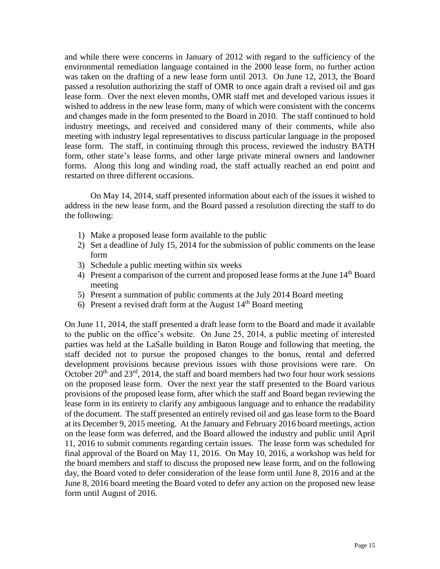and while there were concerns in January of 2012 with regard to the sufficiency of the environmental remediation language contained in the 2000 lease form, no further action was taken on the drafting of a new lease form until 2013. On June 12, 2013, the Board passed a resolution authorizing the staff of OMR to once again draft a revised oil and gas lease form. Over the next eleven months, OMR staff met and developed various issues it wished to address in the new lease form, many of which were consistent with the concerns and changes made in the form presented to the Board in 2010. The staff continued to hold industry meetings, and received and considered many of their comments, while also meeting with industry legal representatives to discuss particular language in the proposed lease form. The staff, in continuing through this process, reviewed the industry BATH form, other state's lease forms, and other large private mineral owners and landowner forms. Along this long and winding road, the staff actually reached an end point and restarted on three different occasions.

On May 14, 2014, staff presented information about each of the issues it wished to address in the new lease form, and the Board passed a resolution directing the staff to do the following:

- 1) Make a proposed lease form available to the public
- 2) Set a deadline of July 15, 2014 for the submission of public comments on the lease form
- 3) Schedule a public meeting within six weeks
- 4) Present a comparison of the current and proposed lease forms at the June 14<sup>th</sup> Board meeting
- 5) Present a summation of public comments at the July 2014 Board meeting
- 6) Present a revised draft form at the August  $14<sup>th</sup>$  Board meeting

On June 11, 2014, the staff presented a draft lease form to the Board and made it available to the public on the office's website. On June 25, 2014, a public meeting of interested parties was held at the LaSalle building in Baton Rouge and following that meeting, the staff decided not to pursue the proposed changes to the bonus, rental and deferred development provisions because previous issues with those provisions were rare. On October  $20<sup>th</sup>$  and  $23<sup>rd</sup>$ , 2014, the staff and board members had two four hour work sessions on the proposed lease form. Over the next year the staff presented to the Board various provisions of the proposed lease form, after which the staff and Board began reviewing the lease form in its entirety to clarify any ambiguous language and to enhance the readability of the document. The staff presented an entirely revised oil and gas lease form to the Board at its December 9, 2015 meeting. At the January and February 2016 board meetings, action on the lease form was deferred, and the Board allowed the industry and public until April 11, 2016 to submit comments regarding certain issues. The lease form was scheduled for final approval of the Board on May 11, 2016. On May 10, 2016, a workshop was held for the board members and staff to discuss the proposed new lease form, and on the following day, the Board voted to defer consideration of the lease form until June 8, 2016 and at the June 8, 2016 board meeting the Board voted to defer any action on the proposed new lease form until August of 2016.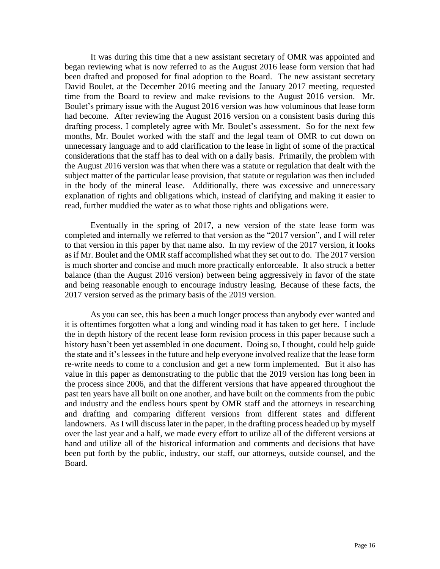It was during this time that a new assistant secretary of OMR was appointed and began reviewing what is now referred to as the August 2016 lease form version that had been drafted and proposed for final adoption to the Board. The new assistant secretary David Boulet, at the December 2016 meeting and the January 2017 meeting, requested time from the Board to review and make revisions to the August 2016 version. Mr. Boulet's primary issue with the August 2016 version was how voluminous that lease form had become. After reviewing the August 2016 version on a consistent basis during this drafting process, I completely agree with Mr. Boulet's assessment. So for the next few months, Mr. Boulet worked with the staff and the legal team of OMR to cut down on unnecessary language and to add clarification to the lease in light of some of the practical considerations that the staff has to deal with on a daily basis. Primarily, the problem with the August 2016 version was that when there was a statute or regulation that dealt with the subject matter of the particular lease provision, that statute or regulation was then included in the body of the mineral lease. Additionally, there was excessive and unnecessary explanation of rights and obligations which, instead of clarifying and making it easier to read, further muddied the water as to what those rights and obligations were.

Eventually in the spring of 2017, a new version of the state lease form was completed and internally we referred to that version as the "2017 version", and I will refer to that version in this paper by that name also. In my review of the 2017 version, it looks as if Mr. Boulet and the OMR staff accomplished what they set out to do. The 2017 version is much shorter and concise and much more practically enforceable. It also struck a better balance (than the August 2016 version) between being aggressively in favor of the state and being reasonable enough to encourage industry leasing. Because of these facts, the 2017 version served as the primary basis of the 2019 version.

As you can see, this has been a much longer process than anybody ever wanted and it is oftentimes forgotten what a long and winding road it has taken to get here. I include the in depth history of the recent lease form revision process in this paper because such a history hasn't been yet assembled in one document. Doing so, I thought, could help guide the state and it's lessees in the future and help everyone involved realize that the lease form re-write needs to come to a conclusion and get a new form implemented. But it also has value in this paper as demonstrating to the public that the 2019 version has long been in the process since 2006, and that the different versions that have appeared throughout the past ten years have all built on one another, and have built on the comments from the pubic and industry and the endless hours spent by OMR staff and the attorneys in researching and drafting and comparing different versions from different states and different landowners. As I will discuss later in the paper, in the drafting process headed up by myself over the last year and a half, we made every effort to utilize all of the different versions at hand and utilize all of the historical information and comments and decisions that have been put forth by the public, industry, our staff, our attorneys, outside counsel, and the Board.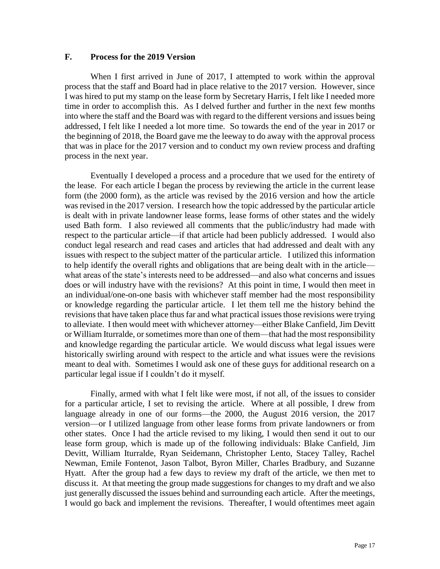#### **F. Process for the 2019 Version**

When I first arrived in June of 2017, I attempted to work within the approval process that the staff and Board had in place relative to the 2017 version. However, since I was hired to put my stamp on the lease form by Secretary Harris, I felt like I needed more time in order to accomplish this. As I delved further and further in the next few months into where the staff and the Board was with regard to the different versions and issues being addressed, I felt like I needed a lot more time. So towards the end of the year in 2017 or the beginning of 2018, the Board gave me the leeway to do away with the approval process that was in place for the 2017 version and to conduct my own review process and drafting process in the next year.

Eventually I developed a process and a procedure that we used for the entirety of the lease. For each article I began the process by reviewing the article in the current lease form (the 2000 form), as the article was revised by the 2016 version and how the article was revised in the 2017 version. I research how the topic addressed by the particular article is dealt with in private landowner lease forms, lease forms of other states and the widely used Bath form. I also reviewed all comments that the public/industry had made with respect to the particular article—if that article had been publicly addressed. I would also conduct legal research and read cases and articles that had addressed and dealt with any issues with respect to the subject matter of the particular article. I utilized this information to help identify the overall rights and obligations that are being dealt with in the article what areas of the state's interests need to be addressed—and also what concerns and issues does or will industry have with the revisions? At this point in time, I would then meet in an individual/one-on-one basis with whichever staff member had the most responsibility or knowledge regarding the particular article. I let them tell me the history behind the revisions that have taken place thus far and what practical issues those revisions were trying to alleviate. I then would meet with whichever attorney—either Blake Canfield, Jim Devitt or William Iturralde, or sometimes more than one of them—that had the most responsibility and knowledge regarding the particular article. We would discuss what legal issues were historically swirling around with respect to the article and what issues were the revisions meant to deal with. Sometimes I would ask one of these guys for additional research on a particular legal issue if I couldn't do it myself.

Finally, armed with what I felt like were most, if not all, of the issues to consider for a particular article, I set to revising the article. Where at all possible, I drew from language already in one of our forms—the 2000, the August 2016 version, the 2017 version—or I utilized language from other lease forms from private landowners or from other states. Once I had the article revised to my liking, I would then send it out to our lease form group, which is made up of the following individuals: Blake Canfield, Jim Devitt, William Iturralde, Ryan Seidemann, Christopher Lento, Stacey Talley, Rachel Newman, Emile Fontenot, Jason Talbot, Byron Miller, Charles Bradbury, and Suzanne Hyatt. After the group had a few days to review my draft of the article, we then met to discuss it. At that meeting the group made suggestions for changes to my draft and we also just generally discussed the issues behind and surrounding each article. After the meetings, I would go back and implement the revisions. Thereafter, I would oftentimes meet again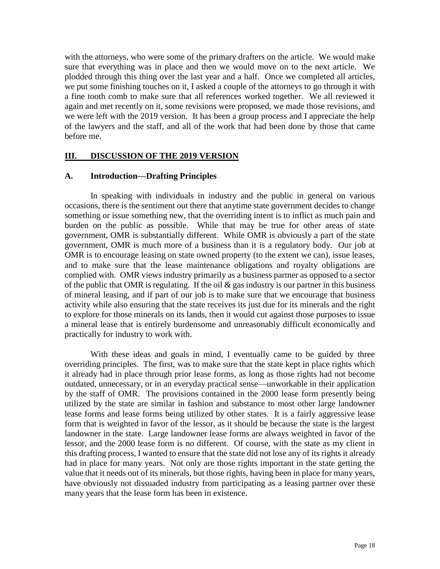with the attorneys, who were some of the primary drafters on the article. We would make sure that everything was in place and then we would move on to the next article. We plodded through this thing over the last year and a half. Once we completed all articles, we put some finishing touches on it, I asked a couple of the attorneys to go through it with a fine tooth comb to make sure that all references worked together. We all reviewed it again and met recently on it, some revisions were proposed, we made those revisions, and we were left with the 2019 version. It has been a group process and I appreciate the help of the lawyers and the staff, and all of the work that had been done by those that came before me.

#### **III. DISCUSSION OF THE 2019 VERSION**

#### **A. Introduction—Drafting Principles**

In speaking with individuals in industry and the public in general on various occasions, there is the sentiment out there that anytime state government decides to change something or issue something new, that the overriding intent is to inflict as much pain and burden on the public as possible. While that may be true for other areas of state government, OMR is substantially different. While OMR is obviously a part of the state government, OMR is much more of a business than it is a regulatory body. Our job at OMR is to encourage leasing on state owned property (to the extent we can), issue leases, and to make sure that the lease maintenance obligations and royalty obligations are complied with. OMR views industry primarily as a business partner as opposed to a sector of the public that OMR is regulating. If the oil  $\&$  gas industry is our partner in this business of mineral leasing, and if part of our job is to make sure that we encourage that business activity while also ensuring that the state receives its just due for its minerals and the right to explore for those minerals on its lands, then it would cut against those purposes to issue a mineral lease that is entirely burdensome and unreasonably difficult economically and practically for industry to work with.

With these ideas and goals in mind, I eventually came to be guided by three overriding principles. The first, was to make sure that the state kept in place rights which it already had in place through prior lease forms, as long as those rights had not become outdated, unnecessary, or in an everyday practical sense—unworkable in their application by the staff of OMR. The provisions contained in the 2000 lease form presently being utilized by the state are similar in fashion and substance to most other large landowner lease forms and lease forms being utilized by other states. It is a fairly aggressive lease form that is weighted in favor of the lessor, as it should be because the state is the largest landowner in the state. Large landowner lease forms are always weighted in favor of the lessor, and the 2000 lease form is no different. Of course, with the state as my client in this drafting process, I wanted to ensure that the state did not lose any of its rights it already had in place for many years. Not only are those rights important in the state getting the value that it needs out of its minerals, but those rights, having been in place for many years, have obviously not dissuaded industry from participating as a leasing partner over these many years that the lease form has been in existence.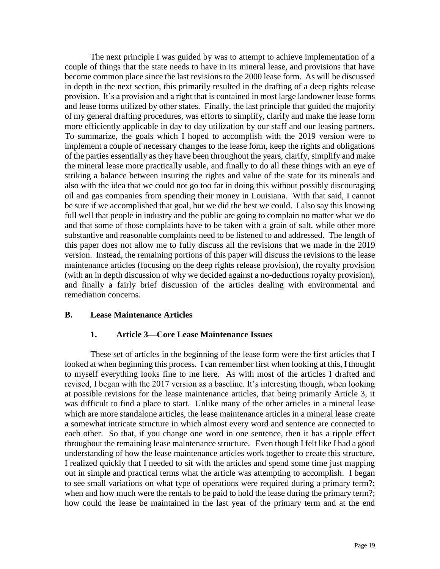The next principle I was guided by was to attempt to achieve implementation of a couple of things that the state needs to have in its mineral lease, and provisions that have become common place since the last revisions to the 2000 lease form. As will be discussed in depth in the next section, this primarily resulted in the drafting of a deep rights release provision. It's a provision and a right that is contained in most large landowner lease forms and lease forms utilized by other states. Finally, the last principle that guided the majority of my general drafting procedures, was efforts to simplify, clarify and make the lease form more efficiently applicable in day to day utilization by our staff and our leasing partners. To summarize, the goals which I hoped to accomplish with the 2019 version were to implement a couple of necessary changes to the lease form, keep the rights and obligations of the parties essentially as they have been throughout the years, clarify, simplify and make the mineral lease more practically usable, and finally to do all these things with an eye of striking a balance between insuring the rights and value of the state for its minerals and also with the idea that we could not go too far in doing this without possibly discouraging oil and gas companies from spending their money in Louisiana. With that said, I cannot be sure if we accomplished that goal, but we did the best we could. I also say this knowing full well that people in industry and the public are going to complain no matter what we do and that some of those complaints have to be taken with a grain of salt, while other more substantive and reasonable complaints need to be listened to and addressed. The length of this paper does not allow me to fully discuss all the revisions that we made in the 2019 version. Instead, the remaining portions of this paper will discuss the revisions to the lease maintenance articles (focusing on the deep rights release provision), the royalty provision (with an in depth discussion of why we decided against a no-deductions royalty provision), and finally a fairly brief discussion of the articles dealing with environmental and remediation concerns.

## **B. Lease Maintenance Articles**

#### **1. Article 3—Core Lease Maintenance Issues**

These set of articles in the beginning of the lease form were the first articles that I looked at when beginning this process. I can remember first when looking at this, I thought to myself everything looks fine to me here. As with most of the articles I drafted and revised, I began with the 2017 version as a baseline. It's interesting though, when looking at possible revisions for the lease maintenance articles, that being primarily Article 3, it was difficult to find a place to start. Unlike many of the other articles in a mineral lease which are more standalone articles, the lease maintenance articles in a mineral lease create a somewhat intricate structure in which almost every word and sentence are connected to each other. So that, if you change one word in one sentence, then it has a ripple effect throughout the remaining lease maintenance structure. Even though I felt like I had a good understanding of how the lease maintenance articles work together to create this structure, I realized quickly that I needed to sit with the articles and spend some time just mapping out in simple and practical terms what the article was attempting to accomplish. I began to see small variations on what type of operations were required during a primary term?; when and how much were the rentals to be paid to hold the lease during the primary term?; how could the lease be maintained in the last year of the primary term and at the end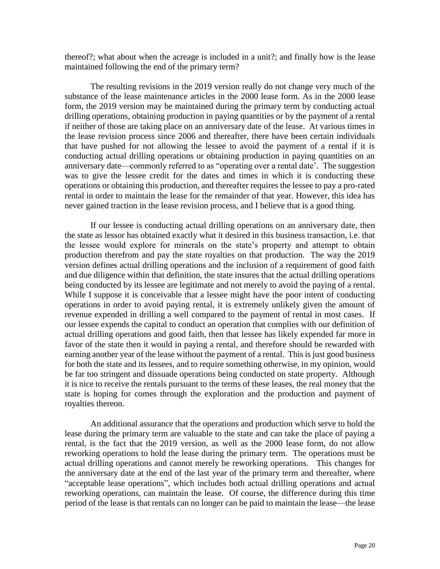thereof?; what about when the acreage is included in a unit?; and finally how is the lease maintained following the end of the primary term?

The resulting revisions in the 2019 version really do not change very much of the substance of the lease maintenance articles in the 2000 lease form. As in the 2000 lease form, the 2019 version may be maintained during the primary term by conducting actual drilling operations, obtaining production in paying quantities or by the payment of a rental if neither of those are taking place on an anniversary date of the lease. At various times in the lease revision process since 2006 and thereafter, there have been certain individuals that have pushed for not allowing the lessee to avoid the payment of a rental if it is conducting actual drilling operations or obtaining production in paying quantities on an anniversary date—commonly referred to as "operating over a rental date'. The suggestion was to give the lessee credit for the dates and times in which it is conducting these operations or obtaining this production, and thereafter requires the lessee to pay a pro-rated rental in order to maintain the lease for the remainder of that year. However, this idea has never gained traction in the lease revision process, and I believe that is a good thing.

If our lessee is conducting actual drilling operations on an anniversary date, then the state as lessor has obtained exactly what it desired in this business transaction, i.e. that the lessee would explore for minerals on the state's property and attempt to obtain production therefrom and pay the state royalties on that production. The way the 2019 version defines actual drilling operations and the inclusion of a requirement of good faith and due diligence within that definition, the state insures that the actual drilling operations being conducted by its lessee are legitimate and not merely to avoid the paying of a rental. While I suppose it is conceivable that a lessee might have the poor intent of conducting operations in order to avoid paying rental, it is extremely unlikely given the amount of revenue expended in drilling a well compared to the payment of rental in most cases. If our lessee expends the capital to conduct an operation that complies with our definition of actual drilling operations and good faith, then that lessee has likely expended far more in favor of the state then it would in paying a rental, and therefore should be rewarded with earning another year of the lease without the payment of a rental. This is just good business for both the state and its lessees, and to require something otherwise, in my opinion, would be far too stringent and dissuade operations being conducted on state property. Although it is nice to receive the rentals pursuant to the terms of these leases, the real money that the state is hoping for comes through the exploration and the production and payment of royalties thereon.

An additional assurance that the operations and production which serve to hold the lease during the primary term are valuable to the state and can take the place of paying a rental, is the fact that the 2019 version, as well as the 2000 lease form, do not allow reworking operations to hold the lease during the primary term. The operations must be actual drilling operations and cannot merely be reworking operations. This changes for the anniversary date at the end of the last year of the primary term and thereafter, where "acceptable lease operations", which includes both actual drilling operations and actual reworking operations, can maintain the lease. Of course, the difference during this time period of the lease is that rentals can no longer can be paid to maintain the lease—the lease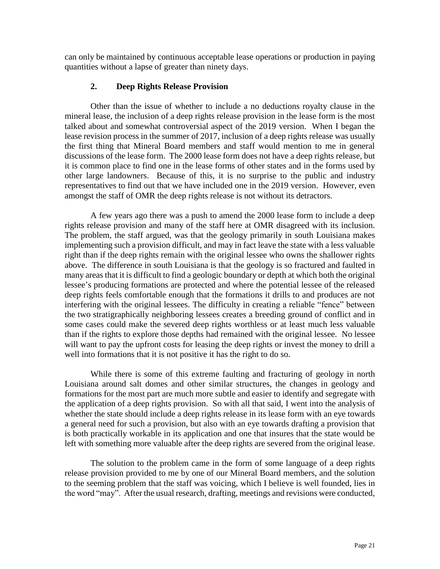can only be maintained by continuous acceptable lease operations or production in paying quantities without a lapse of greater than ninety days.

# **2. Deep Rights Release Provision**

Other than the issue of whether to include a no deductions royalty clause in the mineral lease, the inclusion of a deep rights release provision in the lease form is the most talked about and somewhat controversial aspect of the 2019 version. When I began the lease revision process in the summer of 2017, inclusion of a deep rights release was usually the first thing that Mineral Board members and staff would mention to me in general discussions of the lease form. The 2000 lease form does not have a deep rights release, but it is common place to find one in the lease forms of other states and in the forms used by other large landowners. Because of this, it is no surprise to the public and industry representatives to find out that we have included one in the 2019 version. However, even amongst the staff of OMR the deep rights release is not without its detractors.

A few years ago there was a push to amend the 2000 lease form to include a deep rights release provision and many of the staff here at OMR disagreed with its inclusion. The problem, the staff argued, was that the geology primarily in south Louisiana makes implementing such a provision difficult, and may in fact leave the state with a less valuable right than if the deep rights remain with the original lessee who owns the shallower rights above. The difference in south Louisiana is that the geology is so fractured and faulted in many areas that it is difficult to find a geologic boundary or depth at which both the original lessee's producing formations are protected and where the potential lessee of the released deep rights feels comfortable enough that the formations it drills to and produces are not interfering with the original lessees. The difficulty in creating a reliable "fence" between the two stratigraphically neighboring lessees creates a breeding ground of conflict and in some cases could make the severed deep rights worthless or at least much less valuable than if the rights to explore those depths had remained with the original lessee. No lessee will want to pay the upfront costs for leasing the deep rights or invest the money to drill a well into formations that it is not positive it has the right to do so.

While there is some of this extreme faulting and fracturing of geology in north Louisiana around salt domes and other similar structures, the changes in geology and formations for the most part are much more subtle and easier to identify and segregate with the application of a deep rights provision. So with all that said, I went into the analysis of whether the state should include a deep rights release in its lease form with an eye towards a general need for such a provision, but also with an eye towards drafting a provision that is both practically workable in its application and one that insures that the state would be left with something more valuable after the deep rights are severed from the original lease.

The solution to the problem came in the form of some language of a deep rights release provision provided to me by one of our Mineral Board members, and the solution to the seeming problem that the staff was voicing, which I believe is well founded, lies in the word "may". After the usual research, drafting, meetings and revisions were conducted,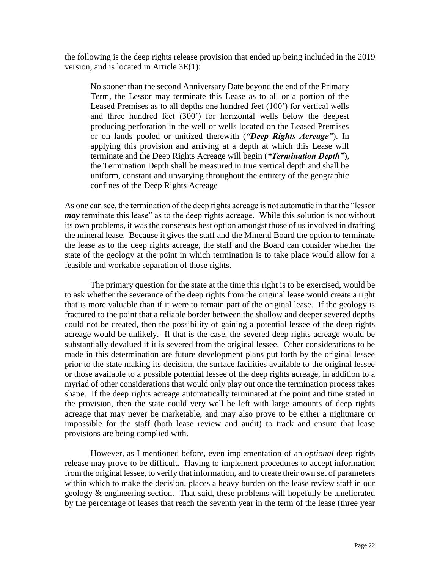the following is the deep rights release provision that ended up being included in the 2019 version, and is located in Article 3E(1):

No sooner than the second Anniversary Date beyond the end of the Primary Term, the Lessor may terminate this Lease as to all or a portion of the Leased Premises as to all depths one hundred feet (100') for vertical wells and three hundred feet (300') for horizontal wells below the deepest producing perforation in the well or wells located on the Leased Premises or on lands pooled or unitized therewith (*"Deep Rights Acreage"*). In applying this provision and arriving at a depth at which this Lease will terminate and the Deep Rights Acreage will begin (*"Termination Depth"*), the Termination Depth shall be measured in true vertical depth and shall be uniform, constant and unvarying throughout the entirety of the geographic confines of the Deep Rights Acreage

As one can see, the termination of the deep rights acreage is not automatic in that the "lessor *may* terminate this lease" as to the deep rights acreage. While this solution is not without its own problems, it was the consensus best option amongst those of us involved in drafting the mineral lease. Because it gives the staff and the Mineral Board the option to terminate the lease as to the deep rights acreage, the staff and the Board can consider whether the state of the geology at the point in which termination is to take place would allow for a feasible and workable separation of those rights.

The primary question for the state at the time this right is to be exercised, would be to ask whether the severance of the deep rights from the original lease would create a right that is more valuable than if it were to remain part of the original lease. If the geology is fractured to the point that a reliable border between the shallow and deeper severed depths could not be created, then the possibility of gaining a potential lessee of the deep rights acreage would be unlikely. If that is the case, the severed deep rights acreage would be substantially devalued if it is severed from the original lessee. Other considerations to be made in this determination are future development plans put forth by the original lessee prior to the state making its decision, the surface facilities available to the original lessee or those available to a possible potential lessee of the deep rights acreage, in addition to a myriad of other considerations that would only play out once the termination process takes shape. If the deep rights acreage automatically terminated at the point and time stated in the provision, then the state could very well be left with large amounts of deep rights acreage that may never be marketable, and may also prove to be either a nightmare or impossible for the staff (both lease review and audit) to track and ensure that lease provisions are being complied with.

However, as I mentioned before, even implementation of an *optional* deep rights release may prove to be difficult. Having to implement procedures to accept information from the original lessee, to verify that information, and to create their own set of parameters within which to make the decision, places a heavy burden on the lease review staff in our geology & engineering section. That said, these problems will hopefully be ameliorated by the percentage of leases that reach the seventh year in the term of the lease (three year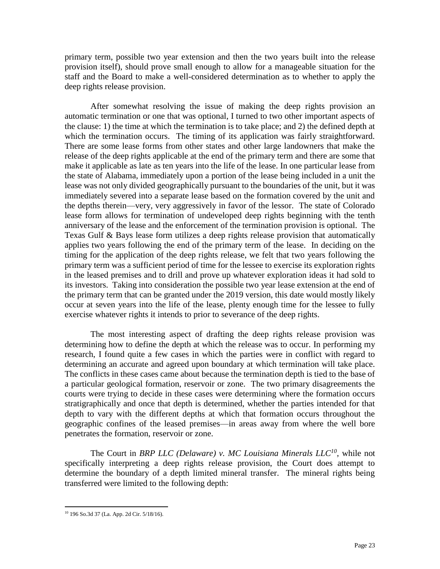primary term, possible two year extension and then the two years built into the release provision itself), should prove small enough to allow for a manageable situation for the staff and the Board to make a well-considered determination as to whether to apply the deep rights release provision.

After somewhat resolving the issue of making the deep rights provision an automatic termination or one that was optional, I turned to two other important aspects of the clause: 1) the time at which the termination is to take place; and 2) the defined depth at which the termination occurs. The timing of its application was fairly straightforward. There are some lease forms from other states and other large landowners that make the release of the deep rights applicable at the end of the primary term and there are some that make it applicable as late as ten years into the life of the lease. In one particular lease from the state of Alabama, immediately upon a portion of the lease being included in a unit the lease was not only divided geographically pursuant to the boundaries of the unit, but it was immediately severed into a separate lease based on the formation covered by the unit and the depths therein—very, very aggressively in favor of the lessor. The state of Colorado lease form allows for termination of undeveloped deep rights beginning with the tenth anniversary of the lease and the enforcement of the termination provision is optional. The Texas Gulf & Bays lease form utilizes a deep rights release provision that automatically applies two years following the end of the primary term of the lease. In deciding on the timing for the application of the deep rights release, we felt that two years following the primary term was a sufficient period of time for the lessee to exercise its exploration rights in the leased premises and to drill and prove up whatever exploration ideas it had sold to its investors. Taking into consideration the possible two year lease extension at the end of the primary term that can be granted under the 2019 version, this date would mostly likely occur at seven years into the life of the lease, plenty enough time for the lessee to fully exercise whatever rights it intends to prior to severance of the deep rights.

The most interesting aspect of drafting the deep rights release provision was determining how to define the depth at which the release was to occur. In performing my research, I found quite a few cases in which the parties were in conflict with regard to determining an accurate and agreed upon boundary at which termination will take place. The conflicts in these cases came about because the termination depth is tied to the base of a particular geological formation, reservoir or zone. The two primary disagreements the courts were trying to decide in these cases were determining where the formation occurs stratigraphically and once that depth is determined, whether the parties intended for that depth to vary with the different depths at which that formation occurs throughout the geographic confines of the leased premises—in areas away from where the well bore penetrates the formation, reservoir or zone.

The Court in *BRP LLC (Delaware) v. MC Louisiana Minerals LLC<sup>10</sup>*, while not specifically interpreting a deep rights release provision, the Court does attempt to determine the boundary of a depth limited mineral transfer. The mineral rights being transferred were limited to the following depth:

 $\overline{\phantom{a}}$ 

<sup>10</sup> 196 So.3d 37 (La. App. 2d Cir. 5/18/16).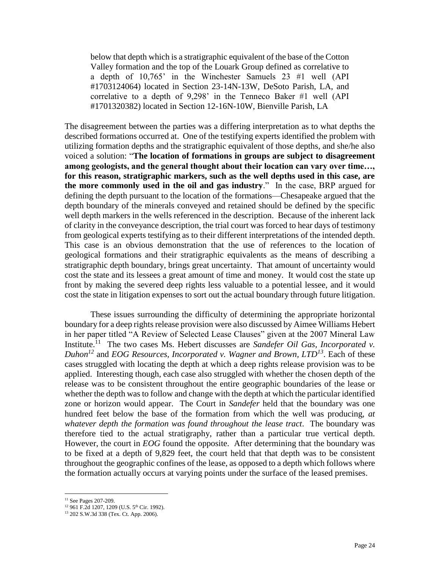below that depth which is a stratigraphic equivalent of the base of the Cotton Valley formation and the top of the Louark Group defined as correlative to a depth of 10,765' in the Winchester Samuels 23 #1 well (API #1703124064) located in Section 23-14N-13W, DeSoto Parish, LA, and correlative to a depth of 9,298' in the Tenneco Baker #1 well (API #1701320382) located in Section 12-16N-10W, Bienville Parish, LA

The disagreement between the parties was a differing interpretation as to what depths the described formations occurred at. One of the testifying experts identified the problem with utilizing formation depths and the stratigraphic equivalent of those depths, and she/he also voiced a solution: "**The location of formations in groups are subject to disagreement among geologists, and the general thought about their location can vary over time…, for this reason, stratigraphic markers, such as the well depths used in this case, are the more commonly used in the oil and gas industry**." In the case, BRP argued for defining the depth pursuant to the location of the formations—Chesapeake argued that the depth boundary of the minerals conveyed and retained should be defined by the specific well depth markers in the wells referenced in the description. Because of the inherent lack of clarity in the conveyance description, the trial court was forced to hear days of testimony from geological experts testifying as to their different interpretations of the intended depth. This case is an obvious demonstration that the use of references to the location of geological formations and their stratigraphic equivalents as the means of describing a stratigraphic depth boundary, brings great uncertainty. That amount of uncertainty would cost the state and its lessees a great amount of time and money. It would cost the state up front by making the severed deep rights less valuable to a potential lessee, and it would cost the state in litigation expenses to sort out the actual boundary through future litigation.

These issues surrounding the difficulty of determining the appropriate horizontal boundary for a deep rights release provision were also discussed by Aimee Williams Hebert in her paper titled "A Review of Selected Lease Clauses" given at the 2007 Mineral Law Institute.<sup>11</sup> The two cases Ms. Hebert discusses are *Sandefer Oil Gas, Incorporated v*. *Duhon<sup>12</sup>* and *EOG Resources, Incorporated v. Wagner and Brown, LTD<sup>13</sup>* . Each of these cases struggled with locating the depth at which a deep rights release provision was to be applied. Interesting though, each case also struggled with whether the chosen depth of the release was to be consistent throughout the entire geographic boundaries of the lease or whether the depth was to follow and change with the depth at which the particular identified zone or horizon would appear. The Court in *Sandefer* held that the boundary was one hundred feet below the base of the formation from which the well was producing, *at whatever depth the formation was found throughout the lease tract*. The boundary was therefore tied to the actual stratigraphy, rather than a particular true vertical depth. However, the court in *EOG* found the opposite. After determining that the boundary was to be fixed at a depth of 9,829 feet, the court held that that depth was to be consistent throughout the geographic confines of the lease, as opposed to a depth which follows where the formation actually occurs at varying points under the surface of the leased premises.

 $\overline{a}$ 

<sup>&</sup>lt;sup>11</sup> See Pages 207-209.

 $12$  961 F.2d 1207, 1209 (U.S. 5<sup>th</sup> Cir. 1992).

<sup>13</sup> 202 S.W.3d 338 (Tex. Ct. App. 2006).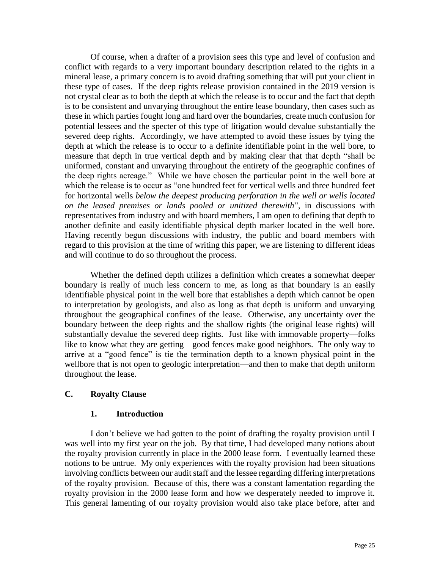Of course, when a drafter of a provision sees this type and level of confusion and conflict with regards to a very important boundary description related to the rights in a mineral lease, a primary concern is to avoid drafting something that will put your client in these type of cases. If the deep rights release provision contained in the 2019 version is not crystal clear as to both the depth at which the release is to occur and the fact that depth is to be consistent and unvarying throughout the entire lease boundary, then cases such as these in which parties fought long and hard over the boundaries, create much confusion for potential lessees and the specter of this type of litigation would devalue substantially the severed deep rights. Accordingly, we have attempted to avoid these issues by tying the depth at which the release is to occur to a definite identifiable point in the well bore, to measure that depth in true vertical depth and by making clear that that depth "shall be uniformed, constant and unvarying throughout the entirety of the geographic confines of the deep rights acreage." While we have chosen the particular point in the well bore at which the release is to occur as "one hundred feet for vertical wells and three hundred feet for horizontal wells *below the deepest producing perforation in the well or wells located on the leased premises or lands pooled or unitized therewith*", in discussions with representatives from industry and with board members, I am open to defining that depth to another definite and easily identifiable physical depth marker located in the well bore. Having recently begun discussions with industry, the public and board members with regard to this provision at the time of writing this paper, we are listening to different ideas and will continue to do so throughout the process.

Whether the defined depth utilizes a definition which creates a somewhat deeper boundary is really of much less concern to me, as long as that boundary is an easily identifiable physical point in the well bore that establishes a depth which cannot be open to interpretation by geologists, and also as long as that depth is uniform and unvarying throughout the geographical confines of the lease. Otherwise, any uncertainty over the boundary between the deep rights and the shallow rights (the original lease rights) will substantially devalue the severed deep rights. Just like with immovable property—folks like to know what they are getting—good fences make good neighbors. The only way to arrive at a "good fence" is tie the termination depth to a known physical point in the wellbore that is not open to geologic interpretation—and then to make that depth uniform throughout the lease.

## **C. Royalty Clause**

## **1. Introduction**

I don't believe we had gotten to the point of drafting the royalty provision until I was well into my first year on the job. By that time, I had developed many notions about the royalty provision currently in place in the 2000 lease form. I eventually learned these notions to be untrue. My only experiences with the royalty provision had been situations involving conflicts between our audit staff and the lessee regarding differing interpretations of the royalty provision. Because of this, there was a constant lamentation regarding the royalty provision in the 2000 lease form and how we desperately needed to improve it. This general lamenting of our royalty provision would also take place before, after and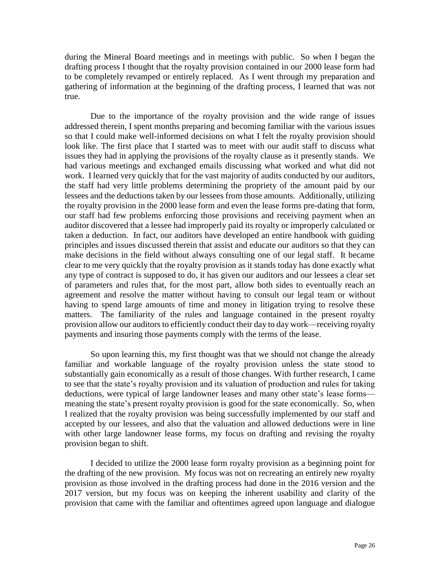during the Mineral Board meetings and in meetings with public. So when I began the drafting process I thought that the royalty provision contained in our 2000 lease form had to be completely revamped or entirely replaced. As I went through my preparation and gathering of information at the beginning of the drafting process, I learned that was not true.

Due to the importance of the royalty provision and the wide range of issues addressed therein, I spent months preparing and becoming familiar with the various issues so that I could make well-informed decisions on what I felt the royalty provision should look like. The first place that I started was to meet with our audit staff to discuss what issues they had in applying the provisions of the royalty clause as it presently stands. We had various meetings and exchanged emails discussing what worked and what did not work. I learned very quickly that for the vast majority of audits conducted by our auditors, the staff had very little problems determining the propriety of the amount paid by our lessees and the deductions taken by our lessees from those amounts. Additionally, utilizing the royalty provision in the 2000 lease form and even the lease forms pre-dating that form, our staff had few problems enforcing those provisions and receiving payment when an auditor discovered that a lessee had improperly paid its royalty or improperly calculated or taken a deduction. In fact, our auditors have developed an entire handbook with guiding principles and issues discussed therein that assist and educate our auditors so that they can make decisions in the field without always consulting one of our legal staff. It became clear to me very quickly that the royalty provision as it stands today has done exactly what any type of contract is supposed to do, it has given our auditors and our lessees a clear set of parameters and rules that, for the most part, allow both sides to eventually reach an agreement and resolve the matter without having to consult our legal team or without having to spend large amounts of time and money in litigation trying to resolve these matters. The familiarity of the rules and language contained in the present royalty provision allow our auditors to efficiently conduct their day to day work—receiving royalty payments and insuring those payments comply with the terms of the lease.

So upon learning this, my first thought was that we should not change the already familiar and workable language of the royalty provision unless the state stood to substantially gain economically as a result of those changes. With further research, I came to see that the state's royalty provision and its valuation of production and rules for taking deductions, were typical of large landowner leases and many other state's lease forms meaning the state's present royalty provision is good for the state economically. So, when I realized that the royalty provision was being successfully implemented by our staff and accepted by our lessees, and also that the valuation and allowed deductions were in line with other large landowner lease forms, my focus on drafting and revising the royalty provision began to shift.

I decided to utilize the 2000 lease form royalty provision as a beginning point for the drafting of the new provision. My focus was not on recreating an entirely new royalty provision as those involved in the drafting process had done in the 2016 version and the 2017 version, but my focus was on keeping the inherent usability and clarity of the provision that came with the familiar and oftentimes agreed upon language and dialogue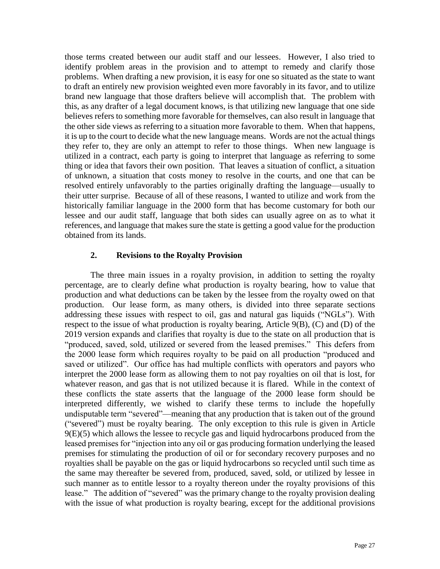those terms created between our audit staff and our lessees. However, I also tried to identify problem areas in the provision and to attempt to remedy and clarify those problems. When drafting a new provision, it is easy for one so situated as the state to want to draft an entirely new provision weighted even more favorably in its favor, and to utilize brand new language that those drafters believe will accomplish that. The problem with this, as any drafter of a legal document knows, is that utilizing new language that one side believes refers to something more favorable for themselves, can also result in language that the other side views as referring to a situation more favorable to them. When that happens, it is up to the court to decide what the new language means. Words are not the actual things they refer to, they are only an attempt to refer to those things. When new language is utilized in a contract, each party is going to interpret that language as referring to some thing or idea that favors their own position. That leaves a situation of conflict, a situation of unknown, a situation that costs money to resolve in the courts, and one that can be resolved entirely unfavorably to the parties originally drafting the language—usually to their utter surprise. Because of all of these reasons, I wanted to utilize and work from the historically familiar language in the 2000 form that has become customary for both our lessee and our audit staff, language that both sides can usually agree on as to what it references, and language that makes sure the state is getting a good value for the production obtained from its lands.

## **2. Revisions to the Royalty Provision**

The three main issues in a royalty provision, in addition to setting the royalty percentage, are to clearly define what production is royalty bearing, how to value that production and what deductions can be taken by the lessee from the royalty owed on that production. Our lease form, as many others, is divided into three separate sections addressing these issues with respect to oil, gas and natural gas liquids ("NGLs"). With respect to the issue of what production is royalty bearing, Article 9(B), (C) and (D) of the 2019 version expands and clarifies that royalty is due to the state on all production that is "produced, saved, sold, utilized or severed from the leased premises." This defers from the 2000 lease form which requires royalty to be paid on all production "produced and saved or utilized". Our office has had multiple conflicts with operators and payors who interpret the 2000 lease form as allowing them to not pay royalties on oil that is lost, for whatever reason, and gas that is not utilized because it is flared. While in the context of these conflicts the state asserts that the language of the 2000 lease form should be interpreted differently, we wished to clarify these terms to include the hopefully undisputable term "severed"—meaning that any production that is taken out of the ground ("severed") must be royalty bearing. The only exception to this rule is given in Article  $9(E)(5)$  which allows the lessee to recycle gas and liquid hydrocarbons produced from the leased premises for "injection into any oil or gas producing formation underlying the leased premises for stimulating the production of oil or for secondary recovery purposes and no royalties shall be payable on the gas or liquid hydrocarbons so recycled until such time as the same may thereafter be severed from, produced, saved, sold, or utilized by lessee in such manner as to entitle lessor to a royalty thereon under the royalty provisions of this lease." The addition of "severed" was the primary change to the royalty provision dealing with the issue of what production is royalty bearing, except for the additional provisions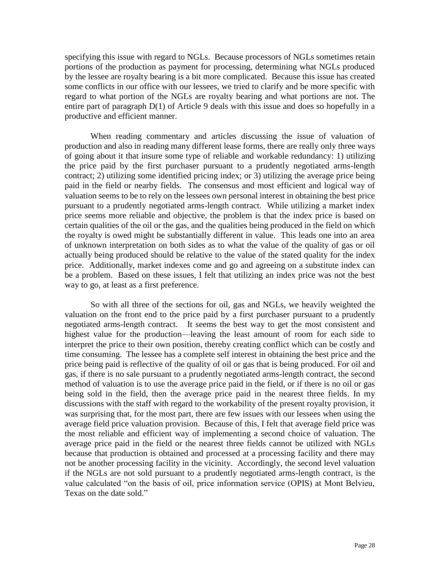specifying this issue with regard to NGLs. Because processors of NGLs sometimes retain portions of the production as payment for processing, determining what NGLs produced by the lessee are royalty bearing is a bit more complicated. Because this issue has created some conflicts in our office with our lessees, we tried to clarify and be more specific with regard to what portion of the NGLs are royalty bearing and what portions are not. The entire part of paragraph D(1) of Article 9 deals with this issue and does so hopefully in a productive and efficient manner.

When reading commentary and articles discussing the issue of valuation of production and also in reading many different lease forms, there are really only three ways of going about it that insure some type of reliable and workable redundancy: 1) utilizing the price paid by the first purchaser pursuant to a prudently negotiated arms-length contract; 2) utilizing some identified pricing index; or 3) utilizing the average price being paid in the field or nearby fields. The consensus and most efficient and logical way of valuation seems to be to rely on the lessees own personal interest in obtaining the best price pursuant to a prudently negotiated arms-length contract. While utilizing a market index price seems more reliable and objective, the problem is that the index price is based on certain qualities of the oil or the gas, and the qualities being produced in the field on which the royalty is owed might be substantially different in value. This leads one into an area of unknown interpretation on both sides as to what the value of the quality of gas or oil actually being produced should be relative to the value of the stated quality for the index price. Additionally, market indexes come and go and agreeing on a substitute index can be a problem. Based on these issues, I felt that utilizing an index price was not the best way to go, at least as a first preference.

So with all three of the sections for oil, gas and NGLs, we heavily weighted the valuation on the front end to the price paid by a first purchaser pursuant to a prudently negotiated arms-length contract. It seems the best way to get the most consistent and highest value for the production—leaving the least amount of room for each side to interpret the price to their own position, thereby creating conflict which can be costly and time consuming. The lessee has a complete self interest in obtaining the best price and the price being paid is reflective of the quality of oil or gas that is being produced. For oil and gas, if there is no sale pursuant to a prudently negotiated arms-length contract, the second method of valuation is to use the average price paid in the field, or if there is no oil or gas being sold in the field, then the average price paid in the nearest three fields. In my discussions with the staff with regard to the workability of the present royalty provision, it was surprising that, for the most part, there are few issues with our lessees when using the average field price valuation provision. Because of this, I felt that average field price was the most reliable and efficient way of implementing a second choice of valuation. The average price paid in the field or the nearest three fields cannot be utilized with NGLs because that production is obtained and processed at a processing facility and there may not be another processing facility in the vicinity. Accordingly, the second level valuation if the NGLs are not sold pursuant to a prudently negotiated arms-length contract, is the value calculated "on the basis of oil, price information service (OPIS) at Mont Belvieu, Texas on the date sold."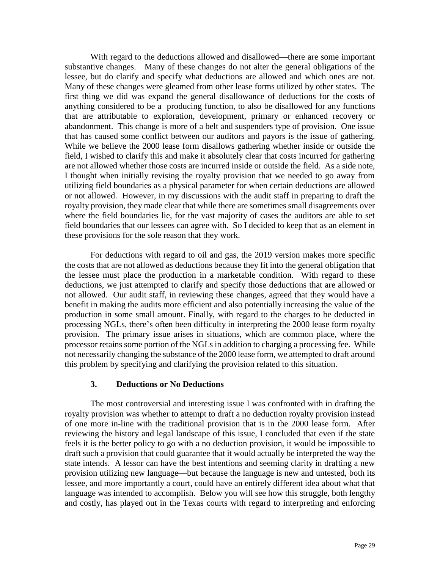With regard to the deductions allowed and disallowed—there are some important substantive changes. Many of these changes do not alter the general obligations of the lessee, but do clarify and specify what deductions are allowed and which ones are not. Many of these changes were gleamed from other lease forms utilized by other states. The first thing we did was expand the general disallowance of deductions for the costs of anything considered to be a producing function, to also be disallowed for any functions that are attributable to exploration, development, primary or enhanced recovery or abandonment. This change is more of a belt and suspenders type of provision. One issue that has caused some conflict between our auditors and payors is the issue of gathering. While we believe the 2000 lease form disallows gathering whether inside or outside the field, I wished to clarify this and make it absolutely clear that costs incurred for gathering are not allowed whether those costs are incurred inside or outside the field. As a side note, I thought when initially revising the royalty provision that we needed to go away from utilizing field boundaries as a physical parameter for when certain deductions are allowed or not allowed. However, in my discussions with the audit staff in preparing to draft the royalty provision, they made clear that while there are sometimes small disagreements over where the field boundaries lie, for the vast majority of cases the auditors are able to set field boundaries that our lessees can agree with. So I decided to keep that as an element in these provisions for the sole reason that they work.

For deductions with regard to oil and gas, the 2019 version makes more specific the costs that are not allowed as deductions because they fit into the general obligation that the lessee must place the production in a marketable condition. With regard to these deductions, we just attempted to clarify and specify those deductions that are allowed or not allowed. Our audit staff, in reviewing these changes, agreed that they would have a benefit in making the audits more efficient and also potentially increasing the value of the production in some small amount. Finally, with regard to the charges to be deducted in processing NGLs, there's often been difficulty in interpreting the 2000 lease form royalty provision. The primary issue arises in situations, which are common place, where the processor retains some portion of the NGLs in addition to charging a processing fee. While not necessarily changing the substance of the 2000 lease form, we attempted to draft around this problem by specifying and clarifying the provision related to this situation.

#### **3. Deductions or No Deductions**

The most controversial and interesting issue I was confronted with in drafting the royalty provision was whether to attempt to draft a no deduction royalty provision instead of one more in-line with the traditional provision that is in the 2000 lease form. After reviewing the history and legal landscape of this issue, I concluded that even if the state feels it is the better policy to go with a no deduction provision, it would be impossible to draft such a provision that could guarantee that it would actually be interpreted the way the state intends. A lessor can have the best intentions and seeming clarity in drafting a new provision utilizing new language—but because the language is new and untested, both its lessee, and more importantly a court, could have an entirely different idea about what that language was intended to accomplish. Below you will see how this struggle, both lengthy and costly, has played out in the Texas courts with regard to interpreting and enforcing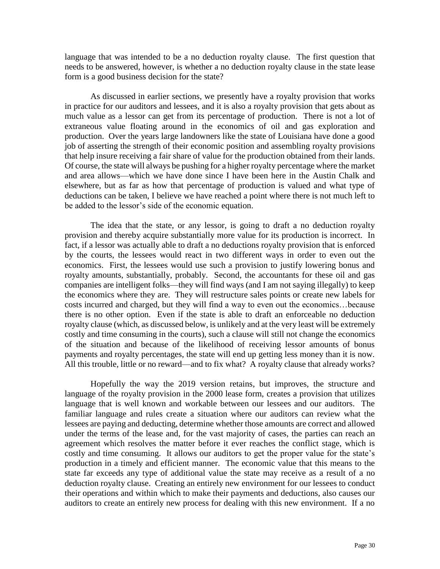language that was intended to be a no deduction royalty clause. The first question that needs to be answered, however, is whether a no deduction royalty clause in the state lease form is a good business decision for the state?

As discussed in earlier sections, we presently have a royalty provision that works in practice for our auditors and lessees, and it is also a royalty provision that gets about as much value as a lessor can get from its percentage of production. There is not a lot of extraneous value floating around in the economics of oil and gas exploration and production. Over the years large landowners like the state of Louisiana have done a good job of asserting the strength of their economic position and assembling royalty provisions that help insure receiving a fair share of value for the production obtained from their lands. Of course, the state will always be pushing for a higher royalty percentage where the market and area allows—which we have done since I have been here in the Austin Chalk and elsewhere, but as far as how that percentage of production is valued and what type of deductions can be taken, I believe we have reached a point where there is not much left to be added to the lessor's side of the economic equation.

The idea that the state, or any lessor, is going to draft a no deduction royalty provision and thereby acquire substantially more value for its production is incorrect. In fact, if a lessor was actually able to draft a no deductions royalty provision that is enforced by the courts, the lessees would react in two different ways in order to even out the economics. First, the lessees would use such a provision to justify lowering bonus and royalty amounts, substantially, probably. Second, the accountants for these oil and gas companies are intelligent folks—they will find ways (and I am not saying illegally) to keep the economics where they are. They will restructure sales points or create new labels for costs incurred and charged, but they will find a way to even out the economics…because there is no other option. Even if the state is able to draft an enforceable no deduction royalty clause (which, as discussed below, is unlikely and at the very least will be extremely costly and time consuming in the courts), such a clause will still not change the economics of the situation and because of the likelihood of receiving lessor amounts of bonus payments and royalty percentages, the state will end up getting less money than it is now. All this trouble, little or no reward—and to fix what? A royalty clause that already works?

Hopefully the way the 2019 version retains, but improves, the structure and language of the royalty provision in the 2000 lease form, creates a provision that utilizes language that is well known and workable between our lessees and our auditors. The familiar language and rules create a situation where our auditors can review what the lessees are paying and deducting, determine whether those amounts are correct and allowed under the terms of the lease and, for the vast majority of cases, the parties can reach an agreement which resolves the matter before it ever reaches the conflict stage, which is costly and time consuming. It allows our auditors to get the proper value for the state's production in a timely and efficient manner. The economic value that this means to the state far exceeds any type of additional value the state may receive as a result of a no deduction royalty clause. Creating an entirely new environment for our lessees to conduct their operations and within which to make their payments and deductions, also causes our auditors to create an entirely new process for dealing with this new environment. If a no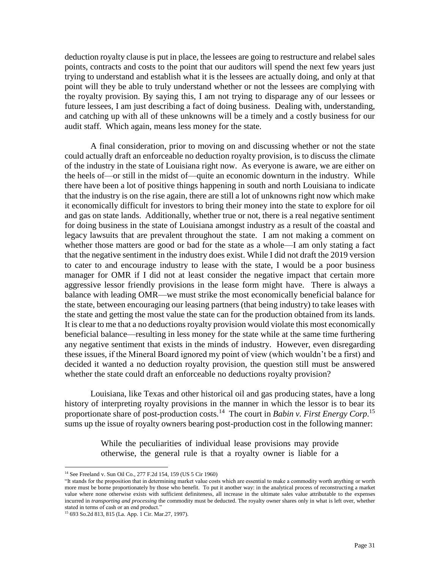deduction royalty clause is put in place, the lessees are going to restructure and relabel sales points, contracts and costs to the point that our auditors will spend the next few years just trying to understand and establish what it is the lessees are actually doing, and only at that point will they be able to truly understand whether or not the lessees are complying with the royalty provision. By saying this, I am not trying to disparage any of our lessees or future lessees, I am just describing a fact of doing business. Dealing with, understanding, and catching up with all of these unknowns will be a timely and a costly business for our audit staff. Which again, means less money for the state.

A final consideration, prior to moving on and discussing whether or not the state could actually draft an enforceable no deduction royalty provision, is to discuss the climate of the industry in the state of Louisiana right now. As everyone is aware, we are either on the heels of—or still in the midst of—quite an economic downturn in the industry. While there have been a lot of positive things happening in south and north Louisiana to indicate that the industry is on the rise again, there are still a lot of unknowns right now which make it economically difficult for investors to bring their money into the state to explore for oil and gas on state lands. Additionally, whether true or not, there is a real negative sentiment for doing business in the state of Louisiana amongst industry as a result of the coastal and legacy lawsuits that are prevalent throughout the state. I am not making a comment on whether those matters are good or bad for the state as a whole—I am only stating a fact that the negative sentiment in the industry does exist. While I did not draft the 2019 version to cater to and encourage industry to lease with the state, I would be a poor business manager for OMR if I did not at least consider the negative impact that certain more aggressive lessor friendly provisions in the lease form might have. There is always a balance with leading OMR—we must strike the most economically beneficial balance for the state, between encouraging our leasing partners (that being industry) to take leases with the state and getting the most value the state can for the production obtained from its lands. It is clear to me that a no deductions royalty provision would violate this most economically beneficial balance—resulting in less money for the state while at the same time furthering any negative sentiment that exists in the minds of industry. However, even disregarding these issues, if the Mineral Board ignored my point of view (which wouldn't be a first) and decided it wanted a no deduction royalty provision, the question still must be answered whether the state could draft an enforceable no deductions royalty provision?

Louisiana, like Texas and other historical oil and gas producing states, have a long history of interpreting royalty provisions in the manner in which the lessor is to bear its proportionate share of post-production costs.<sup>14</sup> The court in *Babin v. First Energy Corp*.<sup>15</sup> sums up the issue of royalty owners bearing post-production cost in the following manner:

> While the peculiarities of individual lease provisions may provide otherwise, the general rule is that a royalty owner is liable for a

 $\overline{\phantom{a}}$ 

<sup>14</sup> See Freeland v. Sun Oil Co., 277 F.2d 154, 159 (US 5 Cir 1960)

<sup>&</sup>quot;It stands for the proposition that in determining market value costs which are essential to make a commodity worth anything or worth more must be borne proportionately by those who benefit. To put it another way: in the analytical process of reconstructing a market value where none otherwise exists with sufficient definiteness, all increase in the ultimate sales value attributable to the expenses incurred in *transporting and processing* the commodity must be deducted. The royalty owner shares only in what is left over, whether stated in terms of cash or an end product."

<sup>15</sup> 693 So.2d 813, 815 (La. App. 1 Cir. Mar.27, 1997).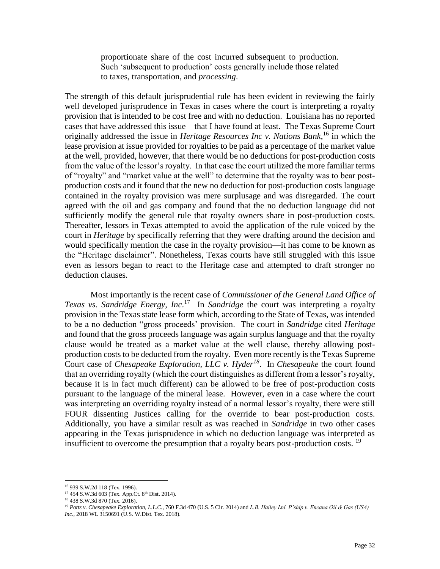proportionate share of the cost incurred subsequent to production. Such 'subsequent to production' costs generally include those related to taxes, transportation, and *processing*.

The strength of this default jurisprudential rule has been evident in reviewing the fairly well developed jurisprudence in Texas in cases where the court is interpreting a royalty provision that is intended to be cost free and with no deduction. Louisiana has no reported cases that have addressed this issue—that I have found at least. The Texas Supreme Court originally addressed the issue in *Heritage Resources Inc v. Nations Bank*, <sup>16</sup> in which the lease provision at issue provided for royalties to be paid as a percentage of the market value at the well, provided, however, that there would be no deductions for post-production costs from the value of the lessor's royalty. In that case the court utilized the more familiar terms of "royalty" and "market value at the well" to determine that the royalty was to bear postproduction costs and it found that the new no deduction for post-production costs language contained in the royalty provision was mere surplusage and was disregarded. The court agreed with the oil and gas company and found that the no deduction language did not sufficiently modify the general rule that royalty owners share in post-production costs. Thereafter, lessors in Texas attempted to avoid the application of the rule voiced by the court in *Heritage* by specifically referring that they were drafting around the decision and would specifically mention the case in the royalty provision—it has come to be known as the "Heritage disclaimer". Nonetheless, Texas courts have still struggled with this issue even as lessors began to react to the Heritage case and attempted to draft stronger no deduction clauses.

Most importantly is the recent case of *Commissioner of the General Land Office of*  Texas vs. Sandridge Energy, Inc.<sup>17</sup> In Sandridge the court was interpreting a royalty provision in the Texas state lease form which, according to the State of Texas, was intended to be a no deduction "gross proceeds' provision. The court in *Sandridge* cited *Heritage* and found that the gross proceeds language was again surplus language and that the royalty clause would be treated as a market value at the well clause, thereby allowing postproduction costs to be deducted from the royalty. Even more recently is the Texas Supreme Court case of *Chesapeake Exploration, LLC v. Hyder<sup>18</sup>* . In *Chesapeake* the court found that an overriding royalty (which the court distinguishes as different from a lessor's royalty, because it is in fact much different) can be allowed to be free of post-production costs pursuant to the language of the mineral lease. However, even in a case where the court was interpreting an overriding royalty instead of a normal lessor's royalty, there were still FOUR dissenting Justices calling for the override to bear post-production costs. Additionally, you have a similar result as was reached in *Sandridge* in two other cases appearing in the Texas jurisprudence in which no deduction language was interpreted as insufficient to overcome the presumption that a royalty bears post-production costs.  $19$ 

 $\overline{a}$ 

<sup>16</sup> 939 S.W.2d 118 (Tex. 1996).

 $17$  454 S.W.3d 603 (Tex. App.Ct.  $8^{th}$  Dist. 2014).

<sup>18</sup> 438 S.W.3d 870 (Tex. 2016).

<sup>19</sup> *Potts v. Chesapeake Exploration, L.L.C.*, 760 F.3d 470 (U.S. 5 Cir. 2014) and *L.B. Hailey Ltd. P'ship v. Encana Oil & Gas (USA) Inc.*, 2018 WL 3150691 (U.S. W.Dist. Tex. 2018).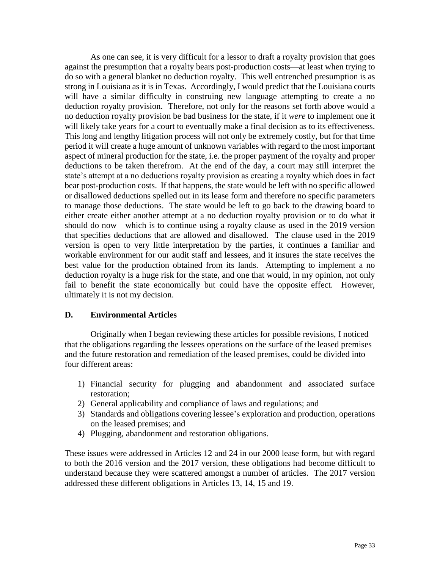As one can see, it is very difficult for a lessor to draft a royalty provision that goes against the presumption that a royalty bears post-production costs—at least when trying to do so with a general blanket no deduction royalty. This well entrenched presumption is as strong in Louisiana as it is in Texas. Accordingly, I would predict that the Louisiana courts will have a similar difficulty in construing new language attempting to create a no deduction royalty provision. Therefore, not only for the reasons set forth above would a no deduction royalty provision be bad business for the state, if it *were* to implement one it will likely take years for a court to eventually make a final decision as to its effectiveness. This long and lengthy litigation process will not only be extremely costly, but for that time period it will create a huge amount of unknown variables with regard to the most important aspect of mineral production for the state, i.e. the proper payment of the royalty and proper deductions to be taken therefrom. At the end of the day, a court may still interpret the state's attempt at a no deductions royalty provision as creating a royalty which does in fact bear post-production costs. If that happens, the state would be left with no specific allowed or disallowed deductions spelled out in its lease form and therefore no specific parameters to manage those deductions. The state would be left to go back to the drawing board to either create either another attempt at a no deduction royalty provision or to do what it should do now—which is to continue using a royalty clause as used in the 2019 version that specifies deductions that are allowed and disallowed. The clause used in the 2019 version is open to very little interpretation by the parties, it continues a familiar and workable environment for our audit staff and lessees, and it insures the state receives the best value for the production obtained from its lands. Attempting to implement a no deduction royalty is a huge risk for the state, and one that would, in my opinion, not only fail to benefit the state economically but could have the opposite effect. However, ultimately it is not my decision.

## **D. Environmental Articles**

Originally when I began reviewing these articles for possible revisions, I noticed that the obligations regarding the lessees operations on the surface of the leased premises and the future restoration and remediation of the leased premises, could be divided into four different areas:

- 1) Financial security for plugging and abandonment and associated surface restoration;
- 2) General applicability and compliance of laws and regulations; and
- 3) Standards and obligations covering lessee's exploration and production, operations on the leased premises; and
- 4) Plugging, abandonment and restoration obligations.

These issues were addressed in Articles 12 and 24 in our 2000 lease form, but with regard to both the 2016 version and the 2017 version, these obligations had become difficult to understand because they were scattered amongst a number of articles. The 2017 version addressed these different obligations in Articles 13, 14, 15 and 19.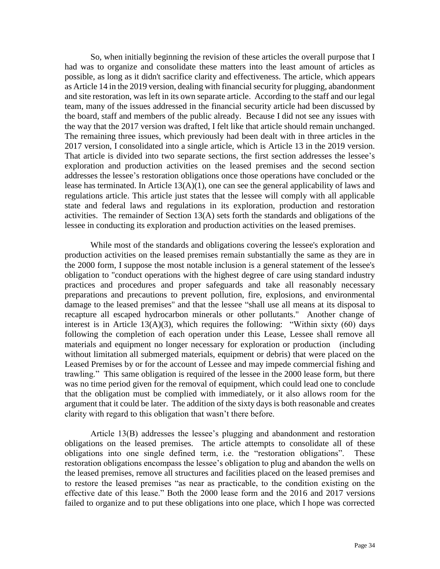So, when initially beginning the revision of these articles the overall purpose that I had was to organize and consolidate these matters into the least amount of articles as possible, as long as it didn't sacrifice clarity and effectiveness. The article, which appears as Article 14 in the 2019 version, dealing with financial security for plugging, abandonment and site restoration, was left in its own separate article. According to the staff and our legal team, many of the issues addressed in the financial security article had been discussed by the board, staff and members of the public already. Because I did not see any issues with the way that the 2017 version was drafted, I felt like that article should remain unchanged. The remaining three issues, which previously had been dealt with in three articles in the 2017 version, I consolidated into a single article, which is Article 13 in the 2019 version. That article is divided into two separate sections, the first section addresses the lessee's exploration and production activities on the leased premises and the second section addresses the lessee's restoration obligations once those operations have concluded or the lease has terminated. In Article 13(A)(1), one can see the general applicability of laws and regulations article. This article just states that the lessee will comply with all applicable state and federal laws and regulations in its exploration, production and restoration activities. The remainder of Section 13(A) sets forth the standards and obligations of the lessee in conducting its exploration and production activities on the leased premises.

While most of the standards and obligations covering the lessee's exploration and production activities on the leased premises remain substantially the same as they are in the 2000 form, I suppose the most notable inclusion is a general statement of the lessee's obligation to "conduct operations with the highest degree of care using standard industry practices and procedures and proper safeguards and take all reasonably necessary preparations and precautions to prevent pollution, fire, explosions, and environmental damage to the leased premises" and that the lessee "shall use all means at its disposal to recapture all escaped hydrocarbon minerals or other pollutants." Another change of interest is in Article 13(A)(3), which requires the following: "Within sixty  $(60)$  days following the completion of each operation under this Lease, Lessee shall remove all materials and equipment no longer necessary for exploration or production (including without limitation all submerged materials, equipment or debris) that were placed on the Leased Premises by or for the account of Lessee and may impede commercial fishing and trawling." This same obligation is required of the lessee in the 2000 lease form, but there was no time period given for the removal of equipment, which could lead one to conclude that the obligation must be complied with immediately, or it also allows room for the argument that it could be later. The addition of the sixty days is both reasonable and creates clarity with regard to this obligation that wasn't there before.

Article 13(B) addresses the lessee's plugging and abandonment and restoration obligations on the leased premises. The article attempts to consolidate all of these obligations into one single defined term, i.e. the "restoration obligations". These restoration obligations encompass the lessee's obligation to plug and abandon the wells on the leased premises, remove all structures and facilities placed on the leased premises and to restore the leased premises "as near as practicable, to the condition existing on the effective date of this lease." Both the 2000 lease form and the 2016 and 2017 versions failed to organize and to put these obligations into one place, which I hope was corrected